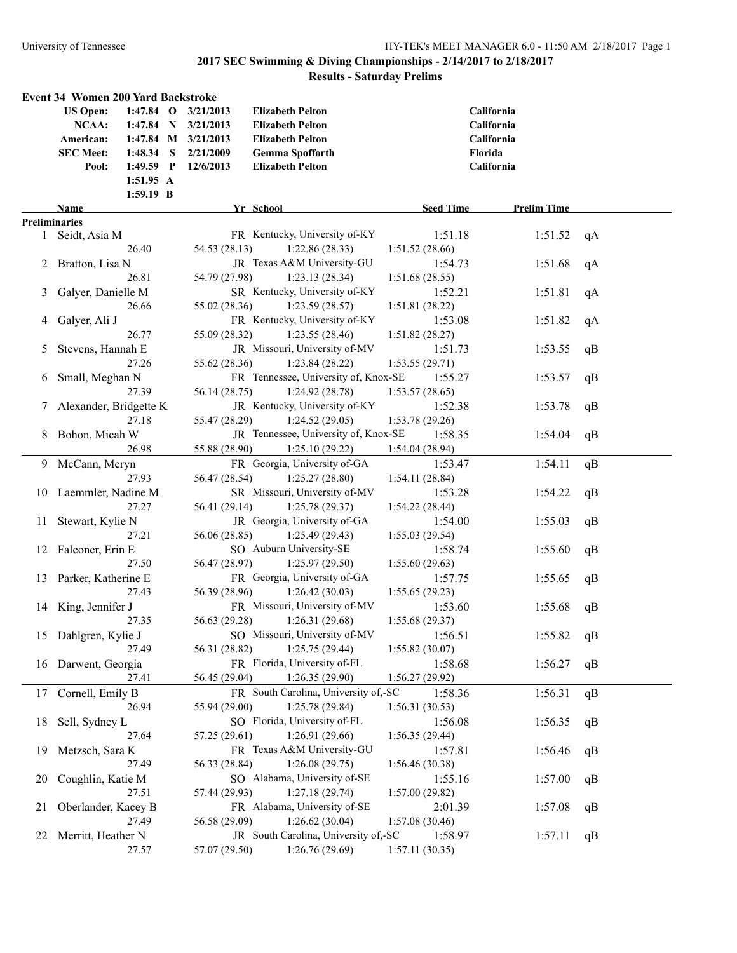|                      | Event 34 Women 200 Yard Backstroke |                     |                     |                                                |                            |                    |    |
|----------------------|------------------------------------|---------------------|---------------------|------------------------------------------------|----------------------------|--------------------|----|
|                      | <b>US Open:</b>                    |                     | 1:47.84 O 3/21/2013 | <b>Elizabeth Pelton</b>                        |                            | California         |    |
|                      | NCAA:                              | $1:47.84$ N         | 3/21/2013           | <b>Elizabeth Pelton</b>                        |                            | California         |    |
|                      | American:                          |                     | 1:47.84 M 3/21/2013 | <b>Elizabeth Pelton</b>                        |                            | California         |    |
|                      | <b>SEC Meet:</b>                   | $1:48.34$ S         | 2/21/2009           | <b>Gemma Spofforth</b>                         |                            | Florida            |    |
|                      | Pool:                              | $1:49.59$ P         | 12/6/2013           | <b>Elizabeth Pelton</b>                        |                            | California         |    |
|                      |                                    | $1:51.95 \text{ A}$ |                     |                                                |                            |                    |    |
|                      |                                    | $1:59.19$ B         |                     |                                                |                            |                    |    |
|                      | Name                               |                     |                     | Yr School                                      | <b>Seed Time</b>           | <b>Prelim Time</b> |    |
| <b>Preliminaries</b> |                                    |                     |                     |                                                |                            |                    |    |
| $\mathbf{1}$         | Seidt, Asia M                      |                     |                     | FR Kentucky, University of-KY                  | 1:51.18                    | 1:51.52            | qA |
|                      |                                    | 26.40               | 54.53 (28.13)       | 1:22.86(28.33)                                 | 1:51.52(28.66)             |                    |    |
|                      | 2 Bratton, Lisa N                  |                     |                     | JR Texas A&M University-GU                     | 1:54.73                    | 1:51.68            | qA |
|                      |                                    | 26.81               | 54.79 (27.98)       | 1:23.13(28.34)                                 | 1:51.68(28.55)             |                    |    |
| 3                    | Galyer, Danielle M                 |                     |                     | SR Kentucky, University of-KY                  | 1:52.21                    | 1:51.81            | qA |
|                      |                                    | 26.66               | 55.02 (28.36)       | 1:23.59(28.57)                                 | 1:51.81(28.22)             |                    |    |
| 4                    | Galyer, Ali J                      |                     |                     | FR Kentucky, University of-KY                  | 1:53.08                    | 1:51.82            | qA |
|                      |                                    | 26.77               | 55.09 (28.32)       | 1:23.55(28.46)                                 | 1:51.82(28.27)             |                    |    |
| 5                    | Stevens, Hannah E                  |                     |                     | JR Missouri, University of-MV                  | 1:51.73                    | 1:53.55            | qB |
|                      |                                    | 27.26               | 55.62 (28.36)       | 1:23.84(28.22)                                 | 1:53.55(29.71)             |                    |    |
| 6                    | Small, Meghan N                    |                     |                     | FR Tennessee, University of, Knox-SE           | 1:55.27                    | 1:53.57            | qB |
|                      |                                    | 27.39               | 56.14 (28.75)       | 1:24.92(28.78)                                 | 1:53.57(28.65)             |                    |    |
|                      | Alexander, Bridgette K             |                     |                     | JR Kentucky, University of-KY                  | 1:52.38                    | 1:53.78            | qB |
|                      |                                    | 27.18               | 55.47 (28.29)       | 1:24.52(29.05)                                 | 1:53.78 (29.26)            |                    |    |
| 8                    | Bohon, Micah W                     |                     |                     | JR Tennessee, University of, Knox-SE           | 1:58.35                    | 1:54.04            | qB |
|                      |                                    | 26.98               | 55.88 (28.90)       | 1:25.10(29.22)                                 | 1:54.04(28.94)             |                    |    |
|                      | 9 McCann, Meryn                    |                     |                     | FR Georgia, University of-GA                   | 1:53.47                    | 1:54.11            | qB |
|                      |                                    | 27.93               | 56.47 (28.54)       | 1:25.27(28.80)                                 | 1:54.11(28.84)             |                    |    |
|                      | 10 Laemmler, Nadine M              |                     |                     | SR Missouri, University of-MV                  | 1:53.28                    | 1:54.22            | qB |
|                      |                                    | 27.27               | 56.41 (29.14)       | 1:25.78(29.37)<br>JR Georgia, University of-GA | 1:54.22 (28.44)<br>1:54.00 | 1:55.03            |    |
| 11                   | Stewart, Kylie N                   | 27.21               | 56.06 (28.85)       | 1:25.49(29.43)                                 | 1:55.03(29.54)             |                    | qB |
| 12                   | Falconer, Erin E                   |                     |                     | SO Auburn University-SE                        | 1:58.74                    | 1:55.60            | qB |
|                      |                                    | 27.50               | 56.47 (28.97)       | 1:25.97(29.50)                                 | 1:55.60(29.63)             |                    |    |
| 13                   | Parker, Katherine E                |                     |                     | FR Georgia, University of-GA                   | 1:57.75                    | 1:55.65            | qB |
|                      |                                    | 27.43               | 56.39 (28.96)       | 1:26.42(30.03)                                 | 1:55.65(29.23)             |                    |    |
| 14                   | King, Jennifer J                   |                     |                     | FR Missouri, University of-MV                  | 1:53.60                    | 1:55.68            | qB |
|                      |                                    | 27.35               | 56.63 (29.28)       | 1:26.31(29.68)                                 | 1:55.68(29.37)             |                    |    |
|                      | 15 Dahlgren, Kylie J               |                     |                     | SO Missouri, University of-MV                  | 1:56.51                    | 1:55.82            | qB |
|                      |                                    | 27.49               | 56.31 (28.82)       | 1:25.75(29.44)                                 | 1:55.82(30.07)             |                    |    |
|                      | 16 Darwent, Georgia                |                     |                     | FR Florida, University of-FL                   | 1:58.68                    | 1:56.27            | qB |
|                      |                                    | 27.41               | 56.45 (29.04)       | 1:26.35(29.90)                                 | 1:56.27(29.92)             |                    |    |
| 17                   | Cornell, Emily B                   |                     |                     | FR South Carolina, University of,-SC           | 1:58.36                    | 1:56.31            | qB |
|                      |                                    | 26.94               | 55.94 (29.00)       | 1:25.78(29.84)                                 | 1:56.31(30.53)             |                    |    |
| 18                   | Sell, Sydney L                     |                     |                     | SO Florida, University of-FL                   | 1:56.08                    | 1:56.35            | qB |
|                      |                                    | 27.64               | 57.25 (29.61)       | 1:26.91(29.66)                                 | 1:56.35(29.44)             |                    |    |
| 19                   | Metzsch, Sara K                    |                     |                     | FR Texas A&M University-GU                     | 1:57.81                    | 1:56.46            | qB |
|                      |                                    | 27.49               | 56.33 (28.84)       | 1:26.08(29.75)                                 | 1:56.46(30.38)             |                    |    |
| 20                   | Coughlin, Katie M                  |                     |                     | SO Alabama, University of-SE                   | 1:55.16                    | 1:57.00            | qB |
|                      |                                    | 27.51               | 57.44 (29.93)       | 1:27.18(29.74)                                 | 1:57.00(29.82)             |                    |    |
| 21                   | Oberlander, Kacey B                |                     |                     | FR Alabama, University of-SE                   | 2:01.39                    | 1:57.08            | qB |
|                      |                                    | 27.49               | 56.58 (29.09)       | 1:26.62(30.04)                                 | 1:57.08(30.46)             |                    |    |
| 22                   | Merritt, Heather N                 |                     |                     | JR South Carolina, University of,-SC           | 1:58.97                    | 1:57.11            | qB |
|                      |                                    | 27.57               | 57.07 (29.50)       | 1:26.76(29.69)                                 | 1:57.11(30.35)             |                    |    |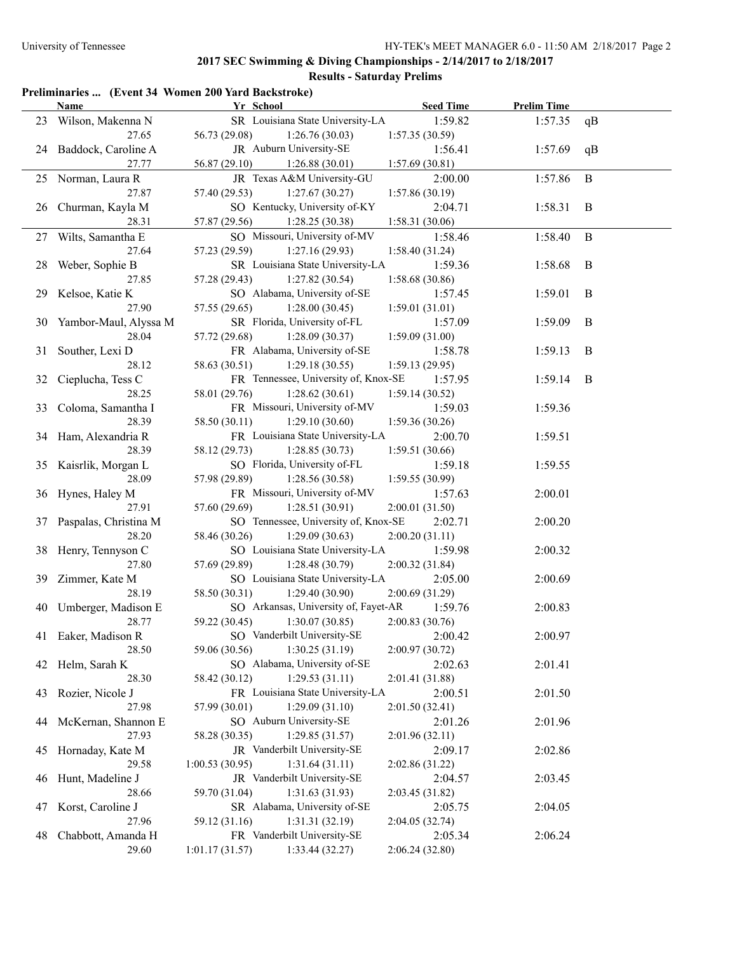#### **Preliminaries ... (Event 34 Women 200 Yard Backstroke)**

|    | <b>Name</b>              | Yr School                            | <b>Seed Time</b>                    | <b>Prelim Time</b> |          |
|----|--------------------------|--------------------------------------|-------------------------------------|--------------------|----------|
|    | 23 Wilson, Makenna N     | SR Louisiana State University-LA     | 1:59.82                             | 1:57.35            | qB       |
|    | 27.65                    | 56.73 (29.08)<br>1:26.76(30.03)      | 1:57.35(30.59)                      |                    |          |
|    | 24 Baddock, Caroline A   | JR Auburn University-SE              | 1:56.41                             | 1:57.69            | qB       |
|    | 27.77                    | 1:26.88(30.01)<br>56.87(29.10)       | 1:57.69(30.81)                      |                    |          |
|    | 25 Norman, Laura R       | JR Texas A&M University-GU           | 2:00.00                             | 1:57.86            | $\bf{B}$ |
|    | 27.87                    | 57.40 (29.53)<br>1:27.67(30.27)      | 1:57.86(30.19)                      |                    |          |
|    | 26 Churman, Kayla M      | SO Kentucky, University of-KY        | 2:04.71                             | 1:58.31            | B        |
|    | 28.31                    | 57.87 (29.56)<br>1:28.25(30.38)      | 1:58.31(30.06)                      |                    |          |
|    | 27 Wilts, Samantha E     | SO Missouri, University of-MV        | 1:58.46                             | 1:58.40            | $\bf{B}$ |
|    | 27.64                    | 57.23 (29.59)<br>1:27.16(29.93)      | 1:58.40(31.24)                      |                    |          |
| 28 | Weber, Sophie B          | SR Louisiana State University-LA     | 1:59.36                             | 1:58.68            | B        |
|    | 27.85                    | 1:27.82(30.54)<br>57.28 (29.43)      | 1:58.68(30.86)                      |                    |          |
| 29 | Kelsoe, Katie K          | SO Alabama, University of-SE         | 1:57.45                             | 1:59.01            | B        |
|    | 27.90                    | 57.55 (29.65)<br>1:28.00(30.45)      | 1:59.01(31.01)                      |                    |          |
| 30 | Yambor-Maul, Alyssa M    | SR Florida, University of-FL         | 1:57.09                             | 1:59.09            | B        |
|    | 28.04                    | 57.72 (29.68)<br>1:28.09(30.37)      | 1:59.09(31.00)                      |                    |          |
| 31 | Souther, Lexi D          | FR Alabama, University of-SE         | 1:58.78                             | 1:59.13            | B        |
|    | 28.12                    | 58.63 (30.51)<br>1:29.18(30.55)      | 1:59.13(29.95)                      |                    |          |
| 32 | Cieplucha, Tess C        | FR Tennessee, University of, Knox-SE | 1:57.95                             | 1:59.14            | - B      |
|    | 28.25                    | 1:28.62(30.61)<br>58.01 (29.76)      | 1:59.14(30.52)                      |                    |          |
| 33 | Coloma, Samantha I       | FR Missouri, University of-MV        | 1:59.03                             | 1:59.36            |          |
|    | 28.39                    | 1:29.10(30.60)<br>58.50 (30.11)      | 1:59.36(30.26)                      |                    |          |
|    | 34 Ham, Alexandria R     | FR Louisiana State University-LA     | 2:00.70                             | 1:59.51            |          |
|    | 28.39                    | 1:28.85(30.73)<br>58.12 (29.73)      | 1:59.51(30.66)                      |                    |          |
|    | 35 Kaisrlik, Morgan L    | SO Florida, University of-FL         | 1:59.18                             | 1:59.55            |          |
|    | 28.09                    | 57.98 (29.89)<br>1:28.56(30.58)      | 1:59.55(30.99)                      |                    |          |
|    | 36 Hynes, Haley M        | FR Missouri, University of-MV        | 1:57.63                             | 2:00.01            |          |
|    | 27.91                    | 57.60 (29.69)<br>1:28.51(30.91)      | 2:00.01(31.50)                      |                    |          |
|    | 37 Paspalas, Christina M | SO Tennessee, University of, Knox-SE | 2:02.71                             | 2:00.20            |          |
|    | 28.20                    | 58.46 (30.26)<br>1:29.09(30.63)      | 2:00.20(31.11)                      |                    |          |
|    | 38 Henry, Tennyson C     | SO Louisiana State University-LA     | 1:59.98                             | 2:00.32            |          |
|    | 27.80                    | 57.69 (29.89)<br>1:28.48(30.79)      | 2:00.32(31.84)                      |                    |          |
|    | 39 Zimmer, Kate M        | SO Louisiana State University-LA     | 2:05.00                             | 2:00.69            |          |
|    | 28.19                    | 58.50 (30.31)                        | 1:29.40 (30.90)<br>2:00.69 (31.29)  |                    |          |
|    | 40 Umberger, Madison E   | SO Arkansas, University of, Fayet-AR | 1:59.76                             | 2:00.83            |          |
|    | 28.77                    | 59.22 (30.45)<br>1:30.07(30.85)      | 2:00.83 (30.76)                     |                    |          |
|    | 41 Eaker, Madison R      |                                      | SO Vanderbilt University-SE 2:00.42 | 2:00.97            |          |
|    | 28.50                    | 1:30.25(31.19)<br>59.06 (30.56)      | 2:00.97(30.72)                      |                    |          |
| 42 | Helm, Sarah K            | SO Alabama, University of-SE         | 2:02.63                             | 2:01.41            |          |
|    | 28.30                    | 58.42 (30.12)<br>1:29.53(31.11)      | 2:01.41 (31.88)                     |                    |          |
| 43 | Rozier, Nicole J         | FR Louisiana State University-LA     | 2:00.51                             | 2:01.50            |          |
|    | 27.98                    | 57.99 (30.01)<br>1:29.09(31.10)      | 2:01.50 (32.41)                     |                    |          |
| 44 | McKernan, Shannon E      | SO Auburn University-SE              | 2:01.26                             | 2:01.96            |          |
|    | 27.93                    | 58.28 (30.35)<br>1:29.85(31.57)      | 2:01.96(32.11)                      |                    |          |
| 45 | Hornaday, Kate M         | JR Vanderbilt University-SE          | 2:09.17                             | 2:02.86            |          |
|    | 29.58                    | 1:31.64(31.11)<br>1:00.53(30.95)     | 2:02.86 (31.22)                     |                    |          |
| 46 | Hunt, Madeline J         | JR Vanderbilt University-SE          | 2:04.57                             | 2:03.45            |          |
|    | 28.66                    | 1:31.63(31.93)<br>59.70 (31.04)      | 2:03.45(31.82)                      |                    |          |
| 47 | Korst, Caroline J        | SR Alabama, University of-SE         | 2:05.75                             | 2:04.05            |          |
|    | 27.96                    | 1:31.31(32.19)<br>59.12 (31.16)      | 2:04.05 (32.74)                     |                    |          |
| 48 | Chabbott, Amanda H       | FR Vanderbilt University-SE          | 2:05.34                             | 2:06.24            |          |
|    | 29.60                    | 1:01.17(31.57)<br>1:33.44(32.27)     | 2:06.24(32.80)                      |                    |          |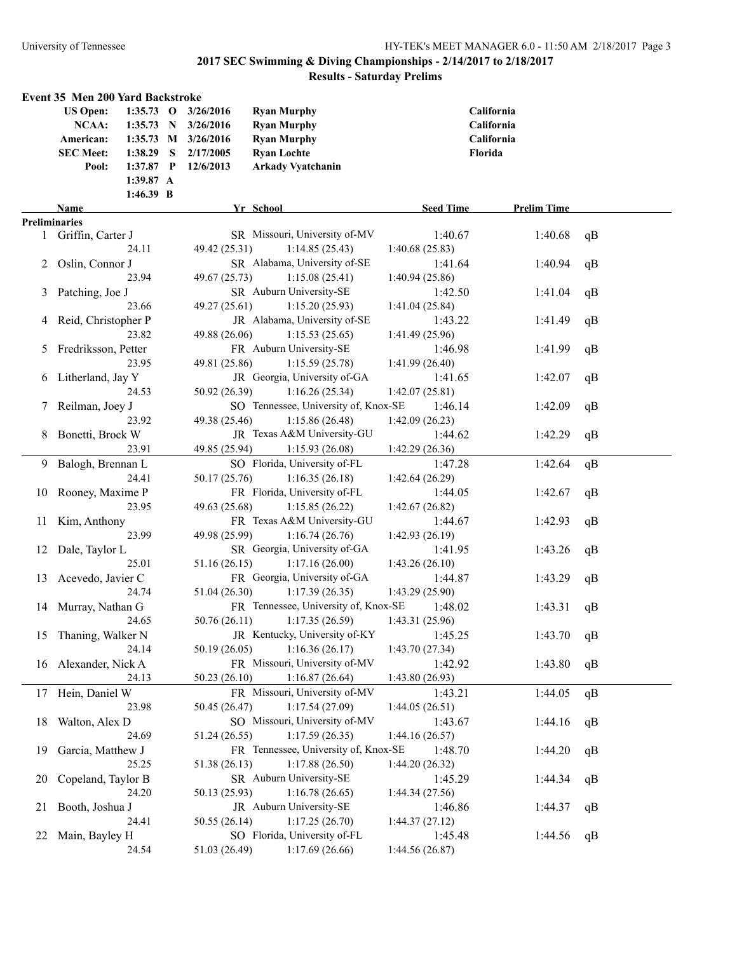|               | Event 35 Men 200 Yard Backstroke |             |                     |                                      |                  |                    |    |
|---------------|----------------------------------|-------------|---------------------|--------------------------------------|------------------|--------------------|----|
|               | <b>US Open:</b>                  |             | 1:35.73 O 3/26/2016 | <b>Ryan Murphy</b>                   |                  | California         |    |
|               | NCAA:                            |             | 1:35.73 N 3/26/2016 | <b>Ryan Murphy</b>                   |                  | California         |    |
|               | American:                        |             | 1:35.73 M 3/26/2016 | <b>Ryan Murphy</b>                   |                  | California         |    |
|               | <b>SEC Meet:</b>                 | $1:38.29$ S | 2/17/2005           | <b>Ryan Lochte</b>                   |                  | Florida            |    |
|               | Pool:                            | $1:37.87$ P | 12/6/2013           | <b>Arkady Vyatchanin</b>             |                  |                    |    |
|               |                                  | 1:39.87 A   |                     |                                      |                  |                    |    |
|               |                                  | 1:46.39 B   |                     |                                      |                  |                    |    |
|               | Name                             |             |                     | Yr School                            | <b>Seed Time</b> | <b>Prelim Time</b> |    |
|               | Preliminaries                    |             |                     |                                      |                  |                    |    |
|               | 1 Griffin, Carter J              |             |                     | SR Missouri, University of-MV        | 1:40.67          | 1:40.68            | qB |
|               |                                  | 24.11       | 49.42 (25.31)       | 1:14.85(25.43)                       | 1:40.68(25.83)   |                    |    |
| 2             | Oslin, Connor J                  |             |                     | SR Alabama, University of-SE         | 1:41.64          | 1:40.94            | qB |
|               |                                  | 23.94       | 49.67 (25.73)       | 1:15.08(25.41)                       | 1:40.94(25.86)   |                    |    |
| 3             | Patching, Joe J                  |             |                     | SR Auburn University-SE              | 1:42.50          | 1:41.04            | qB |
|               |                                  | 23.66       | 49.27 (25.61)       | 1:15.20(25.93)                       | 1:41.04(25.84)   |                    |    |
| 4             | Reid, Christopher P              |             |                     | JR Alabama, University of-SE         | 1:43.22          | 1:41.49            | qB |
|               |                                  | 23.82       | 49.88 (26.06)       | 1:15.53(25.65)                       | 1:41.49(25.96)   |                    |    |
| $\mathcal{P}$ | Fredriksson, Petter              |             |                     | FR Auburn University-SE              | 1:46.98          | 1:41.99            | qB |
|               |                                  | 23.95       | 49.81 (25.86)       | 1:15.59(25.78)                       | 1:41.99(26.40)   |                    |    |
| $\sigma$      | Litherland, Jay Y                |             |                     | JR Georgia, University of-GA         | 1:41.65          | 1:42.07            | qB |
|               |                                  | 24.53       | 50.92 (26.39)       | 1:16.26(25.34)                       | 1:42.07(25.81)   |                    |    |
| 7             | Reilman, Joey J                  |             |                     | SO Tennessee, University of, Knox-SE | 1:46.14          | 1:42.09            | qB |
|               |                                  | 23.92       | 49.38 (25.46)       | 1:15.86(26.48)                       | 1:42.09(26.23)   |                    |    |
| 8             | Bonetti, Brock W                 |             |                     | JR Texas A&M University-GU           | 1:44.62          | 1:42.29            | qB |
|               |                                  | 23.91       | 49.85 (25.94)       | 1:15.93(26.08)                       | 1:42.29(26.36)   |                    |    |
| 9             | Balogh, Brennan L                |             |                     | SO Florida, University of-FL         | 1:47.28          | 1:42.64            | qB |
|               |                                  | 24.41       | 50.17 (25.76)       | 1:16.35(26.18)                       | 1:42.64(26.29)   |                    |    |
| 10            | Rooney, Maxime P                 |             |                     | FR Florida, University of-FL         | 1:44.05          | 1:42.67            | qB |
|               |                                  | 23.95       | 49.63 (25.68)       | 1:15.85(26.22)                       | 1:42.67(26.82)   |                    |    |
| 11            | Kim, Anthony                     |             |                     | FR Texas A&M University-GU           | 1:44.67          | 1:42.93            | qB |
|               |                                  | 23.99       | 49.98 (25.99)       | 1:16.74(26.76)                       | 1:42.93(26.19)   |                    |    |
| 12            | Dale, Taylor L                   |             |                     | SR Georgia, University of-GA         | 1:41.95          | 1:43.26            | qB |
|               |                                  | 25.01       | 51.16(26.15)        | 1:17.16(26.00)                       | 1:43.26(26.10)   |                    |    |
| 13            | Acevedo, Javier C                |             |                     | FR Georgia, University of-GA         | 1:44.87          | 1:43.29            | qB |
|               |                                  | 24.74       | 51.04 (26.30)       | 1:17.39(26.35)                       | 1:43.29(25.90)   |                    |    |
|               | 14 Murray, Nathan G              |             |                     | FR Tennessee, University of, Knox-SE | 1:48.02          | 1:43.31            | qB |
|               |                                  | 24.65       | 50.76(26.11)        | 1:17.35(26.59)                       | 1:43.31(25.96)   |                    |    |
| 15            | Thaning, Walker N                |             |                     | JR Kentucky, University of-KY        | 1:45.25          | 1:43.70            | qB |
|               |                                  | 24.14       | 50.19 (26.05)       | 1:16.36(26.17)                       | 1:43.70(27.34)   |                    |    |
| 16            | Alexander, Nick A                |             |                     | FR Missouri, University of-MV        | 1:42.92          | 1:43.80            | qB |
|               |                                  | 24.13       | 50.23 (26.10)       | 1:16.87(26.64)                       | 1:43.80(26.93)   |                    |    |
| 17            | Hein, Daniel W                   |             |                     | FR Missouri, University of-MV        | 1:43.21          | 1:44.05            | qB |
|               |                                  | 23.98       | 50.45 (26.47)       | 1:17.54(27.09)                       | 1:44.05(26.51)   |                    |    |
| 18            | Walton, Alex D                   |             |                     | SO Missouri, University of-MV        | 1:43.67          | 1:44.16            | qB |
|               |                                  | 24.69       | 51.24 (26.55)       | 1:17.59(26.35)                       | 1:44.16(26.57)   |                    |    |
| 19            | Garcia, Matthew J                |             |                     | FR Tennessee, University of, Knox-SE | 1:48.70          | 1:44.20            | qB |
|               |                                  | 25.25       | 51.38 (26.13)       | 1:17.88(26.50)                       | 1:44.20(26.32)   |                    |    |
| 20            | Copeland, Taylor B               |             |                     | SR Auburn University-SE              | 1:45.29          | 1:44.34            | qB |
|               |                                  | 24.20       | 50.13 (25.93)       | 1:16.78(26.65)                       | 1:44.34(27.56)   |                    |    |
| 21            | Booth, Joshua J                  |             |                     | JR Auburn University-SE              | 1:46.86          | 1:44.37            | qB |
|               |                                  | 24.41       | 50.55 (26.14)       | 1:17.25(26.70)                       | 1:44.37(27.12)   |                    |    |
| 22            | Main, Bayley H                   |             |                     | SO Florida, University of-FL         | 1:45.48          | 1:44.56            | qB |
|               |                                  | 24.54       | 51.03 (26.49)       | 1:17.69(26.66)                       | 1:44.56(26.87)   |                    |    |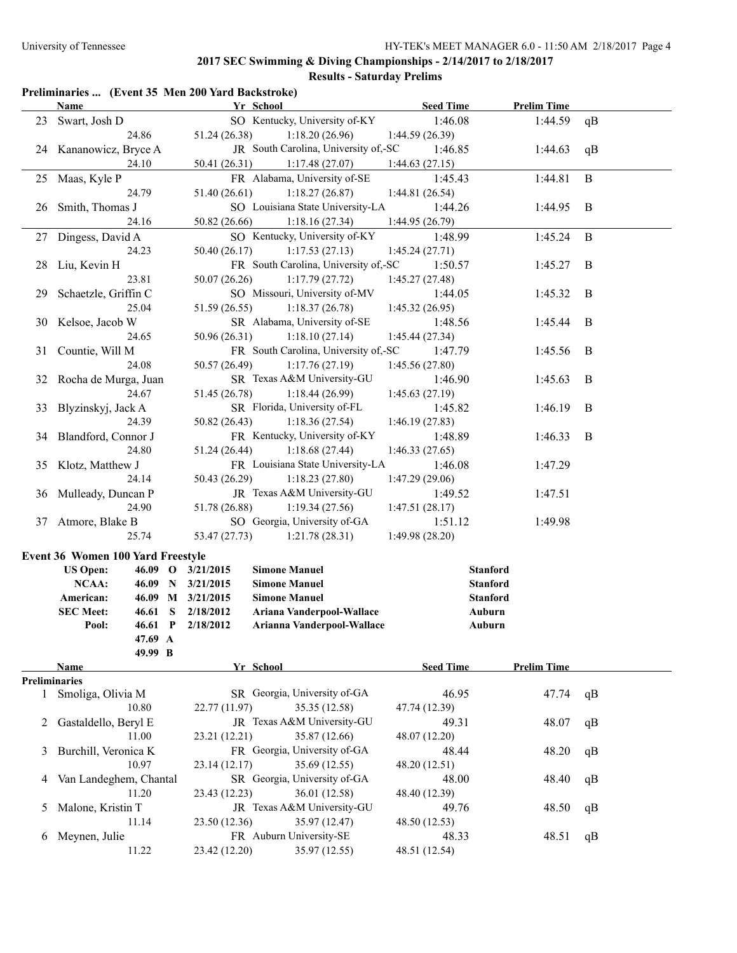| Preliminaries  (Event 35 Men 200 Yard Backstroke) |  |  |  |  |  |
|---------------------------------------------------|--|--|--|--|--|
|---------------------------------------------------|--|--|--|--|--|

|                      | Name                                     | Yr School                                                               | <b>Seed Time</b>          | <b>Prelim Time</b> |              |
|----------------------|------------------------------------------|-------------------------------------------------------------------------|---------------------------|--------------------|--------------|
|                      | 23 Swart, Josh D<br>24.86                | SO Kentucky, University of-KY<br>51.24 (26.38)<br>1:18.20(26.96)        | 1:46.08<br>1:44.59(26.39) | 1:44.59            | qB           |
|                      | 24 Kananowicz, Bryce A<br>24.10          | JR South Carolina, University of,-SC<br>50.41 (26.31)<br>1:17.48(27.07) | 1:46.85<br>1:44.63(27.15) | 1:44.63            | qB           |
|                      | 25 Maas, Kyle P                          | FR Alabama, University of-SE                                            | 1:45.43                   | 1:44.81            | $\mathbf{B}$ |
|                      | 24.79                                    | 51.40 (26.61)<br>1:18.27(26.87)                                         | 1:44.81(26.54)            |                    |              |
| 26                   | Smith, Thomas J                          | SO Louisiana State University-LA                                        | 1:44.26                   | 1:44.95            | B            |
|                      | 24.16                                    | 50.82 (26.66)<br>1:18.16(27.34)                                         | 1:44.95 (26.79)           |                    |              |
|                      | 27 Dingess, David A                      | SO Kentucky, University of-KY                                           | 1:48.99                   | 1:45.24            | $\bf{B}$     |
|                      | 24.23                                    | 50.40 (26.17)<br>1:17.53(27.13)                                         | 1:45.24(27.71)            |                    |              |
| 28                   | Liu, Kevin H                             | FR South Carolina, University of,-SC                                    | 1:50.57                   | 1:45.27            | B            |
|                      | 23.81                                    | 50.07 (26.26)<br>1:17.79(27.72)                                         | 1:45.27 (27.48)           |                    |              |
| 29                   | Schaetzle, Griffin C                     | SO Missouri, University of-MV                                           | 1:44.05                   | 1:45.32            | B            |
|                      | 25.04                                    | 51.59 (26.55)<br>1:18.37(26.78)                                         | 1:45.32(26.95)            |                    |              |
| 30                   | Kelsoe, Jacob W                          | SR Alabama, University of-SE                                            | 1:48.56                   | 1:45.44            | B            |
|                      | 24.65                                    | 50.96 (26.31)<br>1:18.10(27.14)                                         | 1:45.44(27.34)            |                    |              |
| 31                   | Countie, Will M                          | FR South Carolina, University of,-SC                                    | 1:47.79                   | 1:45.56            | B            |
|                      | 24.08                                    | 50.57 (26.49)<br>1:17.76(27.19)                                         | 1:45.56 (27.80)           |                    |              |
| 32                   | Rocha de Murga, Juan                     | SR Texas A&M University-GU                                              | 1:46.90                   | 1:45.63            | B            |
|                      | 24.67                                    | 51.45 (26.78)<br>1:18.44(26.99)                                         | 1:45.63(27.19)            |                    |              |
| 33                   | Blyzinskyj, Jack A                       | SR Florida, University of-FL                                            | 1:45.82                   | 1:46.19            | B            |
|                      | 24.39                                    | 50.82 (26.43)<br>1:18.36(27.54)                                         | 1:46.19(27.83)            |                    |              |
| 34                   | Blandford, Connor J                      | FR Kentucky, University of-KY                                           | 1:48.89                   | 1:46.33            | B            |
|                      | 24.80                                    | 51.24 (26.44)<br>1:18.68(27.44)                                         | 1:46.33(27.65)            |                    |              |
| 35                   | Klotz, Matthew J                         | FR Louisiana State University-LA                                        | 1:46.08                   | 1:47.29            |              |
|                      | 24.14                                    | 50.43 (26.29)<br>1:18.23(27.80)                                         | 1:47.29(29.06)            |                    |              |
| 36                   | Mulleady, Duncan P                       | JR Texas A&M University-GU                                              | 1:49.52                   | 1:47.51            |              |
|                      | 24.90                                    | 51.78 (26.88)<br>1:19.34(27.56)                                         | 1:47.51(28.17)            |                    |              |
|                      | 37 Atmore, Blake B                       | SO Georgia, University of-GA                                            | 1:51.12                   | 1:49.98            |              |
|                      | 25.74                                    | 1:21.78(28.31)<br>53.47 (27.73)                                         | 1:49.98(28.20)            |                    |              |
|                      | <b>Event 36 Women 100 Yard Freestyle</b> |                                                                         |                           |                    |              |
|                      | <b>US Open:</b>                          | 46.09 O 3/21/2015<br><b>Simone Manuel</b>                               | <b>Stanford</b>           |                    |              |
|                      | <b>NCAA:</b>                             | <b>Simone Manuel</b><br>46.09 N 3/21/2015                               | <b>Stanford</b>           |                    |              |
|                      | American:                                | 46.09 M 3/21/2015<br><b>Simone Manuel</b>                               | <b>Stanford</b>           |                    |              |
|                      | <b>SEC Meet:</b><br>46.61 S              | 2/18/2012<br>Ariana Vanderpool-Wallace                                  | Auburn                    |                    |              |
|                      | Pool:<br>$46.61$ P                       | 2/18/2012<br>Arianna Vanderpool-Wallace                                 | Auburn                    |                    |              |
|                      | 47.69 A<br>49.99 B                       |                                                                         |                           |                    |              |
|                      | Name                                     | Yr School                                                               | <b>Seed Time</b>          | <b>Prelim Time</b> |              |
| <b>Preliminaries</b> |                                          |                                                                         |                           |                    |              |
| $\mathbf{1}$         | Smoliga, Olivia M                        | SR Georgia, University of-GA                                            | 46.95                     | 47.74              | qB           |
|                      | 10.80                                    | 35.35 (12.58)<br>22.77 (11.97)                                          | 47.74 (12.39)             |                    |              |
| 2                    | Gastaldello, Beryl E                     | JR Texas A&M University-GU                                              | 49.31                     | 48.07              | qB           |
|                      | 11.00                                    | 23.21 (12.21)<br>35.87 (12.66)                                          | 48.07 (12.20)             |                    |              |
| 3                    | Burchill, Veronica K                     | FR Georgia, University of-GA                                            | 48.44                     | 48.20              | qB           |
|                      | 10.97                                    | 23.14 (12.17)<br>35.69 (12.55)                                          | 48.20 (12.51)             |                    |              |
| 4                    | Van Landeghem, Chantal                   | SR Georgia, University of-GA                                            | 48.00                     | 48.40              | qB           |
|                      | 11.20                                    | 23.43 (12.23)<br>36.01 (12.58)                                          | 48.40 (12.39)             |                    |              |
| 5                    | Malone, Kristin T                        | JR Texas A&M University-GU                                              | 49.76                     | 48.50              | qB           |
|                      | 11.14                                    | 23.50 (12.36)<br>35.97 (12.47)                                          | 48.50 (12.53)             |                    |              |
| 6                    | Meynen, Julie                            | FR Auburn University-SE                                                 | 48.33                     | 48.51              | qB           |
|                      | 11.22                                    | 35.97 (12.55)<br>23.42 (12.20)                                          | 48.51 (12.54)             |                    |              |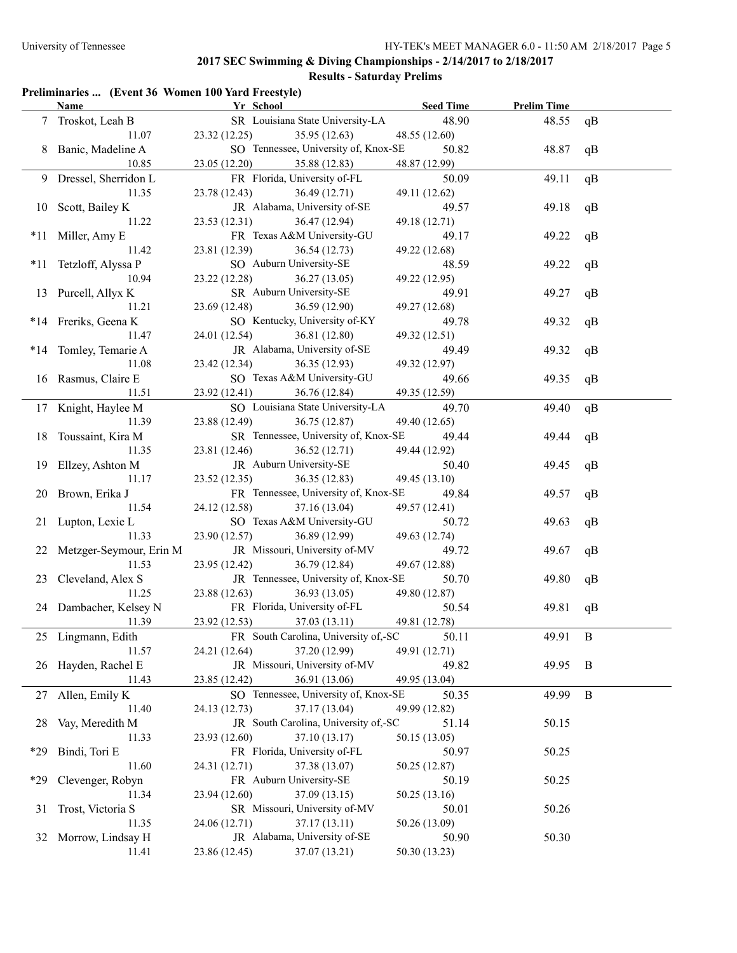#### **Preliminaries ... (Event 36 Women 100 Yard Freestyle)**

|       | <b>Name</b>                | Yr School                            | <b>Seed Time</b> | <b>Prelim Time</b> |                |
|-------|----------------------------|--------------------------------------|------------------|--------------------|----------------|
|       | Troskot, Leah B            | SR Louisiana State University-LA     | 48.90            | 48.55              | qB             |
|       | 11.07                      | 23.32 (12.25)<br>35.95 (12.63)       | 48.55 (12.60)    |                    |                |
| 8     | Banic, Madeline A          | SO Tennessee, University of, Knox-SE | 50.82            | 48.87              | qB             |
|       | 10.85                      | 23.05 (12.20)<br>35.88 (12.83)       | 48.87 (12.99)    |                    |                |
|       | 9 Dressel, Sherridon L     | FR Florida, University of-FL         | 50.09            | 49.11              | qB             |
|       | 11.35                      | 23.78 (12.43)<br>36.49 (12.71)       | 49.11 (12.62)    |                    |                |
| 10    | Scott, Bailey K            | JR Alabama, University of-SE         | 49.57            | 49.18              | qB             |
|       | 11.22                      | 23.53 (12.31)<br>36.47 (12.94)       | 49.18 (12.71)    |                    |                |
| *11   | Miller, Amy E              | FR Texas A&M University-GU           | 49.17            | 49.22              | qB             |
|       | 11.42                      | 23.81 (12.39)<br>36.54 (12.73)       | 49.22 (12.68)    |                    |                |
| $*11$ | Tetzloff, Alyssa P         | SO Auburn University-SE              | 48.59            | 49.22              | qB             |
|       | 10.94                      | 23.22 (12.28)<br>36.27(13.05)        | 49.22 (12.95)    |                    |                |
|       | 13 Purcell, Allyx K        | SR Auburn University-SE              | 49.91            | 49.27              | qB             |
|       | 11.21                      | 23.69 (12.48)<br>36.59 (12.90)       | 49.27 (12.68)    |                    |                |
|       | *14 Freriks, Geena K       | SO Kentucky, University of-KY        | 49.78            | 49.32              | qB             |
|       | 11.47                      | 24.01 (12.54)<br>36.81 (12.80)       | 49.32 (12.51)    |                    |                |
|       | *14 Tomley, Temarie A      | JR Alabama, University of-SE         | 49.49            | 49.32              | qB             |
|       | 11.08                      | 23.42 (12.34)<br>36.35 (12.93)       | 49.32 (12.97)    |                    |                |
|       | 16 Rasmus, Claire E        | SO Texas A&M University-GU           | 49.66            | 49.35              | qB             |
|       | 11.51                      | 23.92 (12.41)<br>36.76 (12.84)       | 49.35 (12.59)    |                    |                |
|       | 17 Knight, Haylee M        | SO Louisiana State University-LA     | 49.70            | 49.40              | qB             |
|       | 11.39                      | 23.88 (12.49)<br>36.75(12.87)        | 49.40 (12.65)    |                    |                |
|       | 18 Toussaint, Kira M       | SR Tennessee, University of, Knox-SE | 49.44            | 49.44              | qB             |
|       | 11.35                      | 23.81 (12.46)<br>36.52(12.71)        | 49.44 (12.92)    |                    |                |
|       | 19 Ellzey, Ashton M        | JR Auburn University-SE              | 50.40            | 49.45              | qB             |
|       | 11.17                      | 36.35(12.83)<br>23.52 (12.35)        | 49.45 (13.10)    |                    |                |
|       | 20 Brown, Erika J          | FR Tennessee, University of, Knox-SE | 49.84            | 49.57              | qB             |
|       | 11.54                      | 24.12 (12.58)<br>37.16 (13.04)       | 49.57 (12.41)    |                    |                |
|       | 21 Lupton, Lexie L         | SO Texas A&M University-GU           | 50.72            | 49.63              | qB             |
|       | 11.33                      | 23.90 (12.57)<br>36.89 (12.99)       | 49.63 (12.74)    |                    |                |
|       | 22 Metzger-Seymour, Erin M | JR Missouri, University of-MV        | 49.72            | 49.67              | qB             |
|       | 11.53                      | 23.95 (12.42)<br>36.79 (12.84)       | 49.67 (12.88)    |                    |                |
|       | 23 Cleveland, Alex S       | JR Tennessee, University of, Knox-SE | 50.70            | 49.80              | qB             |
|       | 11.25                      | 23.88 (12.63)<br>36.93(13.05)        | 49.80 (12.87)    |                    |                |
|       | 24 Dambacher, Kelsey N     | FR Florida, University of-FL         | 50.54            | 49.81              | qB             |
|       | 11.39                      | 37.03 (13.11)<br>23.92 (12.53)       | 49.81 (12.78)    |                    |                |
|       | 25 Lingmann, Edith         | FR South Carolina, University of,-SC | 50.11            | 49.91              | $\overline{B}$ |
|       | 11.57                      | 37.20 (12.99)<br>24.21 (12.64)       | 49.91 (12.71)    |                    |                |
|       | 26 Hayden, Rachel E        | JR Missouri, University of-MV        | 49.82            | 49.95              | B              |
|       | 11.43                      | 36.91 (13.06)<br>23.85 (12.42)       | 49.95 (13.04)    |                    |                |
|       | 27 Allen, Emily K          | SO Tennessee, University of, Knox-SE | 50.35            | 49.99              | $\, {\bf B}$   |
|       | 11.40                      | 37.17 (13.04)<br>24.13 (12.73)       | 49.99 (12.82)    |                    |                |
| 28    | Vay, Meredith M            | JR South Carolina, University of,-SC | 51.14            | 50.15              |                |
|       | 11.33                      | 23.93 (12.60)<br>37.10 (13.17)       | 50.15 (13.05)    |                    |                |
| *29   | Bindi, Tori E              | FR Florida, University of-FL         | 50.97            | 50.25              |                |
|       | 11.60                      | 37.38 (13.07)<br>24.31 (12.71)       | 50.25 (12.87)    |                    |                |
| *29   | Clevenger, Robyn           | FR Auburn University-SE              | 50.19            | 50.25              |                |
|       | 11.34                      | 23.94 (12.60)<br>37.09 (13.15)       | 50.25 (13.16)    |                    |                |
| 31    | Trost, Victoria S          | SR Missouri, University of-MV        | 50.01            | 50.26              |                |
|       | 11.35                      | 24.06 (12.71)<br>37.17 (13.11)       | 50.26 (13.09)    |                    |                |
|       | 32 Morrow, Lindsay H       | JR Alabama, University of-SE         | 50.90            | 50.30              |                |
|       | 11.41                      | 23.86 (12.45)<br>37.07 (13.21)       | 50.30 (13.23)    |                    |                |
|       |                            |                                      |                  |                    |                |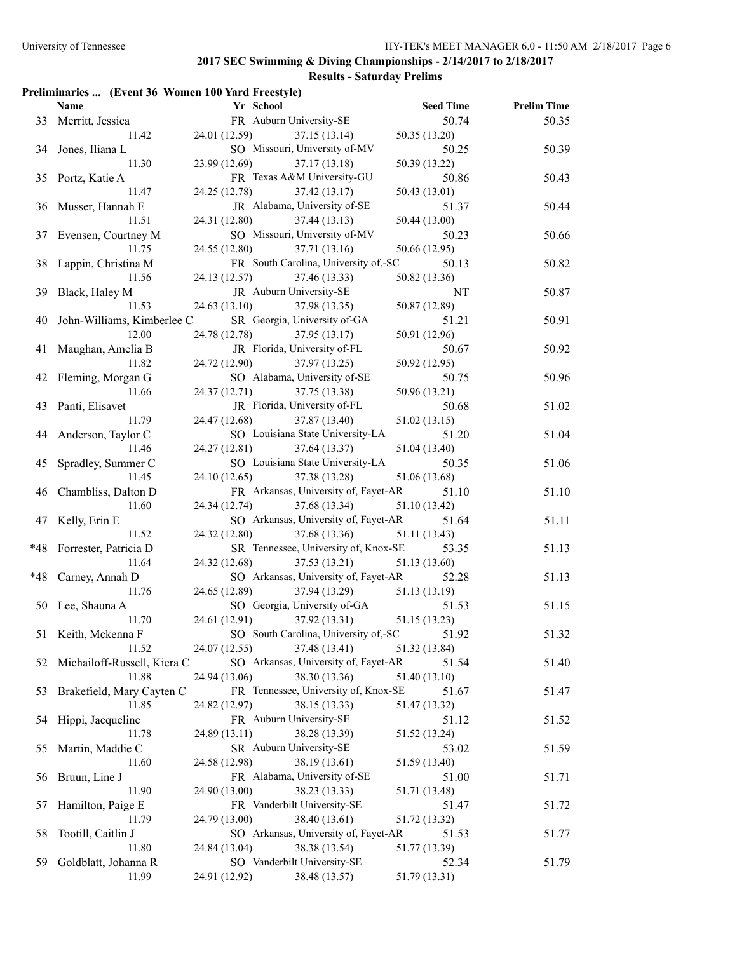# **Results - Saturday Prelims**

# **Preliminaries ... (Event 36 Women 100 Yard Freestyle)**

|     | Name                          | Yr School                                             | <b>Seed Time</b> | <b>Prelim Time</b> |  |
|-----|-------------------------------|-------------------------------------------------------|------------------|--------------------|--|
|     | 33 Merritt, Jessica           | FR Auburn University-SE                               | 50.74            | 50.35              |  |
|     | 11.42                         | 24.01 (12.59)<br>37.15(13.14)                         | 50.35(13.20)     |                    |  |
|     | 34 Jones, Iliana L            | SO Missouri, University of-MV                         | 50.25            | 50.39              |  |
|     | 11.30                         | 23.99 (12.69)<br>37.17(13.18)                         | 50.39 (13.22)    |                    |  |
|     | 35 Portz, Katie A             | FR Texas A&M University-GU                            | 50.86            | 50.43              |  |
|     | 11.47                         | 24.25 (12.78)<br>37.42(13.17)                         | 50.43(13.01)     |                    |  |
|     | 36 Musser, Hannah E           | JR Alabama, University of-SE                          | 51.37            | 50.44              |  |
|     | 11.51                         | 24.31 (12.80)<br>37.44(13.13)                         | 50.44 (13.00)    |                    |  |
|     | 37 Evensen, Courtney M        | SO Missouri, University of-MV                         | 50.23            | 50.66              |  |
|     | 11.75                         | 24.55 (12.80)<br>37.71 (13.16)                        | 50.66 (12.95)    |                    |  |
|     | 38 Lappin, Christina M        | FR South Carolina, University of,-SC                  | 50.13            | 50.82              |  |
|     | 11.56                         | 24.13 (12.57) 37.46 (13.33)                           | 50.82 (13.36)    |                    |  |
|     | 39 Black, Haley M             | JR Auburn University-SE                               | NT               | 50.87              |  |
|     | 11.53                         | 24.63 (13.10)<br>37.98 (13.35)                        | 50.87 (12.89)    |                    |  |
|     | 40 John-Williams, Kimberlee C | SR Georgia, University of-GA                          | 51.21            | 50.91              |  |
|     | 12.00                         | 24.78 (12.78)<br>37.95(13.17)                         | 50.91 (12.96)    |                    |  |
|     | 41 Maughan, Amelia B          | JR Florida, University of-FL                          | 50.67            | 50.92              |  |
|     | 11.82                         | 24.72 (12.90)<br>37.97(13.25)                         | 50.92(12.95)     |                    |  |
|     | 42 Fleming, Morgan G          | SO Alabama, University of-SE                          | 50.75            | 50.96              |  |
|     | 11.66                         | 24.37 (12.71)<br>37.75 (13.38)                        | 50.96 (13.21)    |                    |  |
|     | 43 Panti, Elisavet            | JR Florida, University of-FL                          | 50.68            | 51.02              |  |
|     | 11.79                         | 24.47 (12.68)<br>37.87 (13.40)                        | 51.02(13.15)     |                    |  |
|     | 44 Anderson, Taylor C         | SO Louisiana State University-LA                      | 51.20            | 51.04              |  |
|     | 11.46                         | 24.27 (12.81)<br>37.64 (13.37)                        | 51.04 (13.40)    |                    |  |
|     | 45 Spradley, Summer C         | SO Louisiana State University-LA                      | 50.35            | 51.06              |  |
|     | 11.45                         | 24.10(12.65)                                          |                  |                    |  |
|     |                               | 37.38 (13.28)<br>FR Arkansas, University of, Fayet-AR | 51.06 (13.68)    |                    |  |
|     | 46 Chambliss, Dalton D        |                                                       | 51.10            | 51.10              |  |
|     | 11.60                         | 24.34 (12.74)<br>37.68 (13.34)                        | 51.10 (13.42)    |                    |  |
|     | 47 Kelly, Erin E              | SO Arkansas, University of, Fayet-AR                  | 51.64            | 51.11              |  |
|     | 11.52                         | 24.32 (12.80)<br>37.68 (13.36)                        | 51.11 (13.43)    |                    |  |
|     | *48 Forrester, Patricia D     | SR Tennessee, University of, Knox-SE                  | 53.35            | 51.13              |  |
|     | 11.64                         | 24.32 (12.68)<br>37.53(13.21)                         | 51.13 (13.60)    |                    |  |
|     | *48 Carney, Annah D           | SO Arkansas, University of, Fayet-AR                  | 52.28            | 51.13              |  |
|     | 11.76                         | 24.65 (12.89)<br>37.94 (13.29)                        | 51.13 (13.19)    |                    |  |
|     | 50 Lee, Shauna A              | SO Georgia, University of-GA                          | 51.53            | 51.15              |  |
|     | 11.70                         | 24.61 (12.91) 37.92 (13.31)                           | 51.15 (13.23)    |                    |  |
|     | 51 Keith, Mckenna F           | SO South Carolina, University of,-SC                  | 51.92            | 51.32              |  |
|     | 11.52                         | 37.48 (13.41)<br>24.07 (12.55)                        | 51.32 (13.84)    |                    |  |
| 52  | Michailoff-Russell, Kiera C   | SO Arkansas, University of, Fayet-AR                  | 51.54            | 51.40              |  |
|     | 11.88                         | 24.94 (13.06)<br>38.30 (13.36)                        | 51.40 (13.10)    |                    |  |
| 53  | Brakefield, Mary Cayten C     | FR Tennessee, University of, Knox-SE                  | 51.67            | 51.47              |  |
|     | 11.85                         | 24.82 (12.97)<br>38.15 (13.33)                        | 51.47 (13.32)    |                    |  |
|     | 54 Hippi, Jacqueline          | FR Auburn University-SE                               | 51.12            | 51.52              |  |
|     | 11.78                         | 24.89 (13.11)<br>38.28 (13.39)                        | 51.52 (13.24)    |                    |  |
| 55  | Martin, Maddie C              | SR Auburn University-SE                               | 53.02            | 51.59              |  |
|     | 11.60                         | 38.19 (13.61)<br>24.58 (12.98)                        | 51.59 (13.40)    |                    |  |
|     | 56 Bruun, Line J              | FR Alabama, University of-SE                          | 51.00            | 51.71              |  |
|     | 11.90                         | 24.90 (13.00)<br>38.23 (13.33)                        | 51.71 (13.48)    |                    |  |
| 57  | Hamilton, Paige E             | FR Vanderbilt University-SE                           | 51.47            | 51.72              |  |
|     | 11.79                         | 38.40 (13.61)<br>24.79 (13.00)                        | 51.72 (13.32)    |                    |  |
| 58  | Tootill, Caitlin J            | SO Arkansas, University of, Fayet-AR                  | 51.53            | 51.77              |  |
|     | 11.80                         | 24.84 (13.04)<br>38.38 (13.54)                        | 51.77 (13.39)    |                    |  |
| 59. | Goldblatt, Johanna R          | SO Vanderbilt University-SE                           | 52.34            | 51.79              |  |
|     | 11.99                         | 38.48 (13.57)<br>24.91 (12.92)                        | 51.79 (13.31)    |                    |  |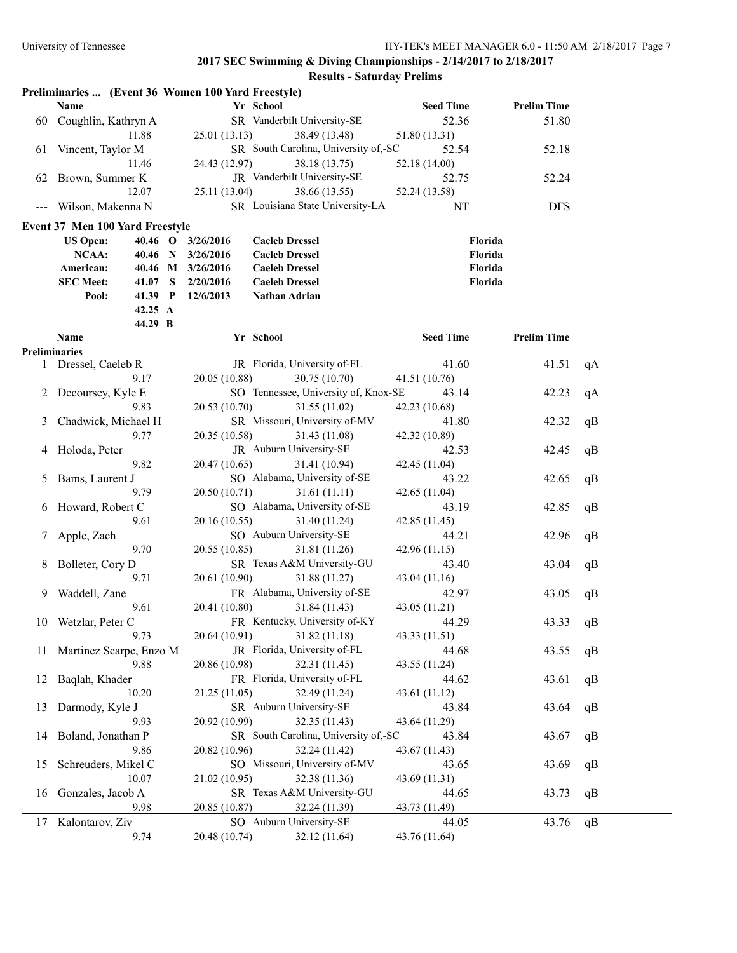|                     | Preliminaries  (Event 36 Women 100 Yard Freestyle) |   |                   |                                      |                  |                    |    |
|---------------------|----------------------------------------------------|---|-------------------|--------------------------------------|------------------|--------------------|----|
|                     | Name                                               |   |                   | Yr School                            | <b>Seed Time</b> | <b>Prelim Time</b> |    |
| 60                  | Coughlin, Kathryn A                                |   |                   | SR Vanderbilt University-SE          | 52.36            | 51.80              |    |
|                     | 11.88                                              |   | 25.01(13.13)      | 38.49 (13.48)                        | 51.80 (13.31)    |                    |    |
| 61                  | Vincent, Taylor M                                  |   |                   | SR South Carolina, University of,-SC | 52.54            | 52.18              |    |
|                     | 11.46                                              |   | 24.43 (12.97)     | 38.18 (13.75)                        | 52.18 (14.00)    |                    |    |
| 62                  | Brown, Summer K                                    |   |                   | JR Vanderbilt University-SE          | 52.75            | 52.24              |    |
|                     | 12.07                                              |   | 25.11 (13.04)     | 38.66 (13.55)                        | 52.24 (13.58)    |                    |    |
| $\qquad \qquad - -$ | Wilson, Makenna N                                  |   |                   | SR Louisiana State University-LA     | NT               | <b>DFS</b>         |    |
|                     | Event 37 Men 100 Yard Freestyle                    |   |                   |                                      |                  |                    |    |
|                     | <b>US Open:</b>                                    |   | 40.46 O 3/26/2016 | <b>Caeleb Dressel</b>                | Florida          |                    |    |
|                     | NCAA:<br>40.46 N                                   |   | 3/26/2016         | <b>Caeleb Dressel</b>                | Florida          |                    |    |
|                     | American:                                          |   | 40.46 M 3/26/2016 | <b>Caeleb Dressel</b>                | Florida          |                    |    |
|                     | <b>SEC Meet:</b><br>41.07                          | S | 2/20/2016         | <b>Caeleb Dressel</b>                | Florida          |                    |    |
|                     | 41.39 P<br>Pool:                                   |   | 12/6/2013         | Nathan Adrian                        |                  |                    |    |
|                     | 42.25 A                                            |   |                   |                                      |                  |                    |    |
|                     | 44.29 B                                            |   |                   |                                      |                  |                    |    |
|                     | Name                                               |   |                   | Yr School                            | <b>Seed Time</b> | <b>Prelim Time</b> |    |
|                     | <b>Preliminaries</b>                               |   |                   |                                      |                  |                    |    |
|                     | 1 Dressel, Caeleb R                                |   |                   | JR Florida, University of-FL         | 41.60            | 41.51              | qA |
|                     | 9.17                                               |   | 20.05 (10.88)     | 30.75 (10.70)                        | 41.51 (10.76)    |                    |    |
|                     | 2 Decoursey, Kyle E                                |   |                   | SO Tennessee, University of, Knox-SE | 43.14            | 42.23              | qA |
|                     | 9.83                                               |   | 20.53 (10.70)     | 31.55 (11.02)                        | 42.23 (10.68)    |                    |    |
| 3                   | Chadwick, Michael H                                |   |                   | SR Missouri, University of-MV        | 41.80            | 42.32              | qB |
|                     | 9.77                                               |   | 20.35 (10.58)     | 31.43 (11.08)                        | 42.32 (10.89)    |                    |    |
|                     | 4 Holoda, Peter                                    |   |                   | JR Auburn University-SE              | 42.53            | 42.45              | qB |
|                     | 9.82                                               |   | 20.47 (10.65)     | 31.41 (10.94)                        | 42.45 (11.04)    |                    |    |
| 5                   | Bams, Laurent J                                    |   |                   | SO Alabama, University of-SE         | 43.22            | 42.65              | qB |
|                     | 9.79                                               |   | 20.50 (10.71)     | 31.61(11.11)                         | 42.65 (11.04)    |                    |    |
| 6                   | Howard, Robert C                                   |   |                   | SO Alabama, University of-SE         | 43.19            | 42.85              | qB |
|                     | 9.61                                               |   | 20.16 (10.55)     | 31.40 (11.24)                        | 42.85 (11.45)    |                    |    |
| 7                   | Apple, Zach                                        |   |                   | SO Auburn University-SE              | 44.21            | 42.96              | qB |
|                     | 9.70                                               |   | 20.55 (10.85)     | 31.81 (11.26)                        | 42.96 (11.15)    |                    |    |
| 8                   | Bolleter, Cory D                                   |   |                   | SR Texas A&M University-GU           | 43.40            | 43.04              | qB |
|                     | 9.71                                               |   | 20.61 (10.90)     | 31.88 (11.27)                        | 43.04 (11.16)    |                    |    |
| 9.                  | Waddell, Zane                                      |   |                   | FR Alabama, University of-SE         | 42.97            | 43.05              | qB |
|                     | 9.61                                               |   | 20.41 (10.80)     | 31.84 (11.43)                        | 43.05 (11.21)    |                    |    |
|                     | 10 Wetzlar, Peter C                                |   |                   | FR Kentucky, University of-KY        | 44.29            | 43.33 qB           |    |
|                     | 9.73                                               |   | 20.64 (10.91)     | 31.82 (11.18)                        | 43.33 (11.51)    |                    |    |
| 11                  | Martinez Scarpe, Enzo M                            |   |                   | JR Florida, University of-FL         | 44.68            | 43.55              | qB |
|                     | 9.88                                               |   | 20.86 (10.98)     | 32.31 (11.45)                        | 43.55 (11.24)    |                    |    |
| 12                  | Baqlah, Khader                                     |   |                   | FR Florida, University of-FL         | 44.62            | 43.61              | qB |
|                     | 10.20                                              |   | 21.25 (11.05)     | 32.49 (11.24)                        | 43.61 (11.12)    |                    |    |
| 13                  | Darmody, Kyle J                                    |   |                   | SR Auburn University-SE              | 43.84            | 43.64              | qB |
|                     | 9.93                                               |   | 20.92 (10.99)     | 32.35 (11.43)                        | 43.64 (11.29)    |                    |    |
| 14                  | Boland, Jonathan P                                 |   |                   | SR South Carolina, University of,-SC | 43.84            | 43.67              | qB |
|                     | 9.86                                               |   | 20.82 (10.96)     | 32.24 (11.42)                        | 43.67 (11.43)    |                    |    |
|                     | Schreuders, Mikel C                                |   |                   | SO Missouri, University of-MV        | 43.65            |                    |    |
| 15                  |                                                    |   |                   |                                      |                  | 43.69              | qB |
|                     | 10.07                                              |   | 21.02 (10.95)     | 32.38 (11.36)                        | 43.69 (11.31)    |                    |    |
| 16                  | Gonzales, Jacob A                                  |   |                   | SR Texas A&M University-GU           | 44.65            | 43.73              | qB |
|                     | 9.98                                               |   | 20.85 (10.87)     | 32.24 (11.39)                        | 43.73 (11.49)    |                    |    |
| 17                  | Kalontarov, Ziv                                    |   |                   | SO Auburn University-SE              | 44.05            | 43.76              | qB |
|                     | 9.74                                               |   | 20.48 (10.74)     | 32.12 (11.64)                        | 43.76 (11.64)    |                    |    |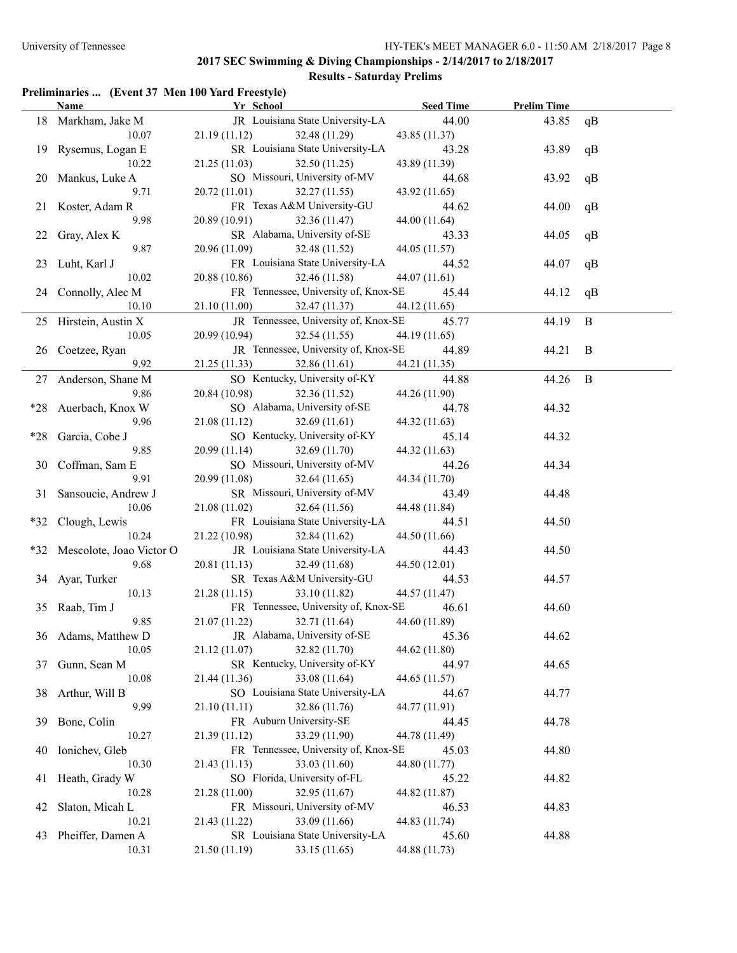#### **Preliminaries ... (Event 37 Men 100 Yard Freestyle)**

|       | <b>Name</b>                  | Yr School                            | <b>Seed Time</b> | <b>Prelim Time</b> |              |
|-------|------------------------------|--------------------------------------|------------------|--------------------|--------------|
|       | 18 Markham, Jake M           | JR Louisiana State University-LA     | 44.00            | 43.85              | qB           |
|       | 10.07                        | 21.19(11.12)<br>32.48 (11.29)        | 43.85 (11.37)    |                    |              |
|       | 19 Rysemus, Logan E          | SR Louisiana State University-LA     | 43.28            | 43.89              | qB           |
|       | 10.22                        | 21.25(11.03)<br>32.50 (11.25)        | 43.89 (11.39)    |                    |              |
|       | 20 Mankus, Luke A            | SO Missouri, University of-MV        | 44.68            | 43.92              | qB           |
|       | 9.71                         | 20.72 (11.01)<br>32.27 (11.55)       | 43.92 (11.65)    |                    |              |
|       | 21 Koster, Adam R            | FR Texas A&M University-GU           | 44.62            | 44.00              | qB           |
|       | 9.98                         | 32.36 (11.47)<br>20.89 (10.91)       | 44.00 (11.64)    |                    |              |
| 22    | Gray, Alex K                 | SR Alabama, University of-SE         | 43.33            | 44.05              | qB           |
|       | 9.87                         | 20.96 (11.09)<br>32.48 (11.52)       | 44.05 (11.57)    |                    |              |
| 23    | Luht, Karl J                 | FR Louisiana State University-LA     | 44.52            | 44.07              | qB           |
|       | 10.02                        | 20.88 (10.86)<br>32.46 (11.58)       | 44.07 (11.61)    |                    |              |
|       | 24 Connolly, Alec M          | FR Tennessee, University of, Knox-SE | 45.44            | 44.12              | qB           |
|       | 10.10                        | 21.10 (11.00)<br>32.47 (11.37)       | 44.12 (11.65)    |                    |              |
|       | 25 Hirstein, Austin X        | JR Tennessee, University of, Knox-SE | 45.77            | 44.19              | $\bf{B}$     |
|       | 10.05                        | 20.99 (10.94)<br>32.54 (11.55)       | 44.19 (11.65)    |                    |              |
| 26    | Coetzee, Ryan                | JR Tennessee, University of, Knox-SE | 44.89            | 44.21              | B            |
|       | 9.92                         | 21.25 (11.33)<br>32.86 (11.61)       | 44.21 (11.35)    |                    |              |
| 27    | Anderson, Shane M            | SO Kentucky, University of-KY        | 44.88            | 44.26              | $\mathbf{B}$ |
|       | 9.86                         | 20.84 (10.98)<br>32.36 (11.52)       | 44.26 (11.90)    |                    |              |
| *28   | Auerbach, Knox W             | SO Alabama, University of-SE         | 44.78            | 44.32              |              |
|       | 9.96                         | 21.08(11.12)<br>32.69(11.61)         | 44.32 (11.63)    |                    |              |
| $*28$ | Garcia, Cobe J               | SO Kentucky, University of-KY        | 45.14            | 44.32              |              |
|       | 9.85                         | 20.99(11.14)<br>32.69 (11.70)        | 44.32 (11.63)    |                    |              |
| 30    | Coffman, Sam E               | SO Missouri, University of-MV        | 44.26            | 44.34              |              |
|       | 9.91                         | 20.99 (11.08)<br>32.64(11.65)        | 44.34 (11.70)    |                    |              |
| 31    | Sansoucie, Andrew J          | SR Missouri, University of-MV        | 43.49            | 44.48              |              |
|       | 10.06                        | 21.08(11.02)<br>32.64 (11.56)        | 44.48 (11.84)    |                    |              |
| *32   | Clough, Lewis                | FR Louisiana State University-LA     | 44.51            | 44.50              |              |
|       | 10.24                        | 21.22 (10.98)<br>32.84 (11.62)       | 44.50 (11.66)    |                    |              |
|       | *32 Mescolote, Joao Victor O | JR Louisiana State University-LA     | 44.43            | 44.50              |              |
|       | 9.68                         | 20.81(11.13)<br>32.49 (11.68)        | 44.50 (12.01)    |                    |              |
|       | 34 Ayar, Turker              | SR Texas A&M University-GU           | 44.53            | 44.57              |              |
|       | 10.13                        | 21.28(11.15)<br>33.10 (11.82)        | 44.57 (11.47)    |                    |              |
|       | 35 Raab, Tim J               | FR Tennessee, University of, Knox-SE | 46.61            | 44.60              |              |
|       | 9.85                         | 21.07(11.22)<br>32.71 (11.64)        | 44.60 (11.89)    |                    |              |
|       | 36 Adams, Matthew D          | JR Alabama, University of-SE 45.36   |                  | 44.62              |              |
|       | 10.05                        | 32.82 (11.70)<br>21.12 (11.07)       | 44.62 (11.80)    |                    |              |
| 37    | Gunn, Sean M                 | SR Kentucky, University of-KY        | 44.97            | 44.65              |              |
|       | 10.08                        | 33.08 (11.64)<br>21.44 (11.36)       | 44.65 (11.57)    |                    |              |
|       | 38 Arthur, Will B            | SO Louisiana State University-LA     | 44.67            | 44.77              |              |
|       | 9.99                         | 32.86 (11.76)<br>21.10(11.11)        | 44.77 (11.91)    |                    |              |
| 39.   | Bone, Colin                  | FR Auburn University-SE              | 44.45            | 44.78              |              |
|       | 10.27                        | 33.29 (11.90)<br>21.39 (11.12)       | 44.78 (11.49)    |                    |              |
| 40    | Ionichev, Gleb               | FR Tennessee, University of, Knox-SE | 45.03            | 44.80              |              |
|       | 10.30                        | 21.43(11.13)<br>33.03 (11.60)        | 44.80 (11.77)    |                    |              |
| 41    | Heath, Grady W               | SO Florida, University of-FL         | 45.22            | 44.82              |              |
|       | 10.28                        | 21.28 (11.00)<br>32.95 (11.67)       | 44.82 (11.87)    |                    |              |
| 42    | Slaton, Micah L              | FR Missouri, University of-MV        | 46.53            | 44.83              |              |
|       | 10.21                        | 21.43 (11.22)<br>33.09 (11.66)       | 44.83 (11.74)    |                    |              |
| 43    | Pheiffer, Damen A            | SR Louisiana State University-LA     | 45.60            | 44.88              |              |
|       | 10.31                        | 21.50 (11.19)<br>33.15 (11.65)       | 44.88 (11.73)    |                    |              |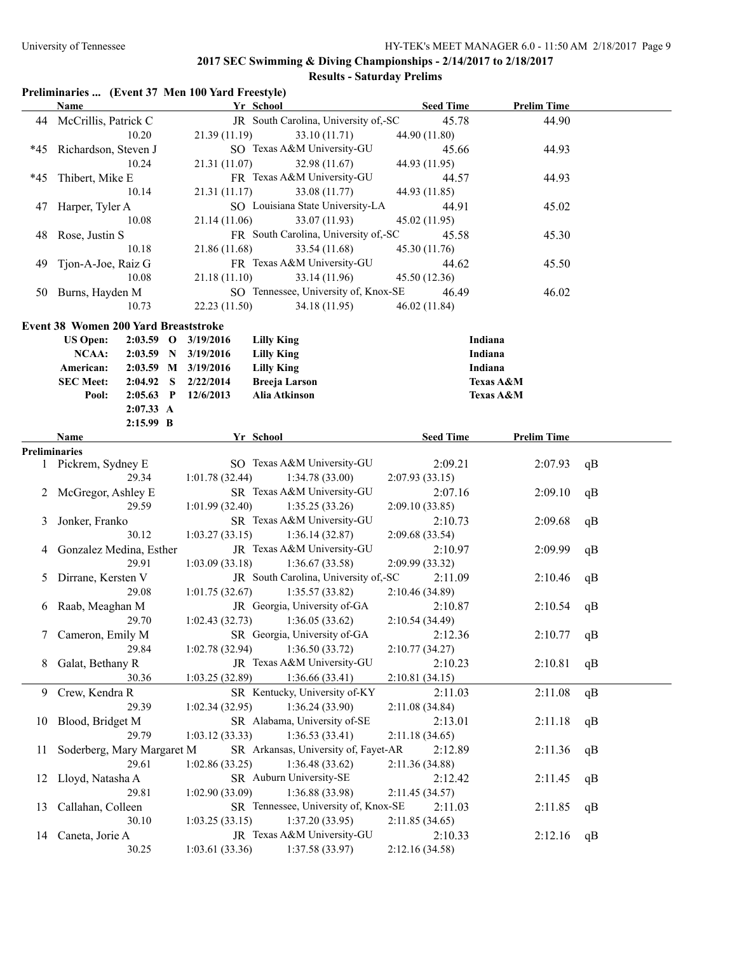# **Preliminaries ... (Event 37 Men 100 Yard Freestyle)**

|       | Name                                 |                        |                        | Yr School                            | <b>Seed Time</b> | <b>Prelim Time</b>   |    |
|-------|--------------------------------------|------------------------|------------------------|--------------------------------------|------------------|----------------------|----|
|       | 44 McCrillis, Patrick C              |                        |                        | JR South Carolina, University of,-SC | 45.78            | 44.90                |    |
|       |                                      | 10.20                  | 21.39(11.19)           | 33.10 (11.71)                        | 44.90 (11.80)    |                      |    |
| $*45$ | Richardson, Steven J                 |                        |                        | SO Texas A&M University-GU           | 45.66            | 44.93                |    |
|       |                                      | 10.24                  | 21.31 (11.07)          | 32.98 (11.67)                        | 44.93 (11.95)    |                      |    |
| $*45$ | Thibert, Mike E                      |                        |                        | FR Texas A&M University-GU           | 44.57            | 44.93                |    |
|       |                                      | 10.14                  | 21.31(11.17)           | 33.08 (11.77)                        | 44.93 (11.85)    |                      |    |
| 47    | Harper, Tyler A                      |                        |                        | SO Louisiana State University-LA     | 44.91            | 45.02                |    |
|       |                                      | 10.08                  | 21.14(11.06)           | 33.07 (11.93)                        | 45.02 (11.95)    |                      |    |
| 48    | Rose, Justin S                       |                        |                        | FR South Carolina, University of,-SC | 45.58            | 45.30                |    |
|       |                                      | 10.18                  | 21.86 (11.68)          | 33.54 (11.68)                        | 45.30 (11.76)    |                      |    |
| 49    | Tjon-A-Joe, Raiz G                   |                        |                        | FR Texas A&M University-GU           | 44.62            | 45.50                |    |
|       |                                      | 10.08                  | 21.18(11.10)           | 33.14 (11.96)                        | 45.50 (12.36)    |                      |    |
|       | 50 Burns, Hayden M                   |                        |                        | SO Tennessee, University of, Knox-SE | 46.49            | 46.02                |    |
|       |                                      | 10.73                  | 22.23 (11.50)          | 34.18 (11.95)                        | 46.02 (11.84)    |                      |    |
|       |                                      |                        |                        |                                      |                  |                      |    |
|       | Event 38 Women 200 Yard Breaststroke |                        |                        |                                      |                  | Indiana              |    |
|       | <b>US Open:</b>                      |                        | 2:03.59 O 3/19/2016    | <b>Lilly King</b>                    |                  | Indiana              |    |
|       | NCAA:                                |                        | 2:03.59 N 3/19/2016    | <b>Lilly King</b>                    |                  |                      |    |
|       | American:                            |                        | 2:03.59 M 3/19/2016    | <b>Lilly King</b>                    |                  | Indiana              |    |
|       | <b>SEC Meet:</b>                     | 2:04.92 S              | 2/22/2014<br>12/6/2013 | <b>Breeja Larson</b>                 |                  | <b>Texas A&amp;M</b> |    |
|       | Pool:                                | $2:05.63$ P            |                        | Alia Atkinson                        |                  | Texas A&M            |    |
|       |                                      | 2:07.33 A<br>2:15.99 B |                        |                                      |                  |                      |    |
|       | Name                                 |                        |                        | Yr School                            | <b>Seed Time</b> | <b>Prelim Time</b>   |    |
|       | Preliminaries                        |                        |                        |                                      |                  |                      |    |
|       | 1 Pickrem, Sydney E                  |                        |                        | SO Texas A&M University-GU           | 2:09.21          | 2:07.93              | qB |
|       |                                      | 29.34                  | 1:01.78(32.44)         | 1:34.78(33.00)                       | 2:07.93(33.15)   |                      |    |
| 2     | McGregor, Ashley E                   |                        |                        | SR Texas A&M University-GU           | 2:07.16          | 2:09.10              | qB |
|       |                                      | 29.59                  | 1:01.99(32.40)         | 1:35.25(33.26)                       | 2:09.10(33.85)   |                      |    |
| 3     | Jonker, Franko                       |                        |                        | SR Texas A&M University-GU           | 2:10.73          | 2:09.68              | qB |
|       |                                      | 30.12                  | 1:03.27(33.15)         | 1:36.14(32.87)                       | 2:09.68(33.54)   |                      |    |
| 4     | Gonzalez Medina, Esther              |                        |                        | JR Texas A&M University-GU           | 2:10.97          | 2:09.99              | qB |
|       |                                      | 29.91                  | 1:03.09(33.18)         | 1:36.67(33.58)                       | 2:09.99 (33.32)  |                      |    |
| 5     | Dirrane, Kersten V                   |                        |                        | JR South Carolina, University of,-SC | 2:11.09          | 2:10.46              | qB |
|       |                                      | 29.08                  | 1:01.75(32.67)         | 1:35.57(33.82)                       | 2:10.46 (34.89)  |                      |    |
|       | 6 Raab, Meaghan M                    |                        |                        | JR Georgia, University of-GA         | 2:10.87          | 2:10.54              | qB |
|       |                                      | 29.70                  | 1:02.43(32.73)         | 1:36.05(33.62)                       | 2:10.54 (34.49)  |                      |    |
|       | 7 Cameron, Emily M                   |                        |                        | SR Georgia, University of-GA         | 2:12.36          | 2:10.77              | qB |
|       |                                      | 29.84                  | 1:02.78(32.94)         | 1:36.50(33.72)                       | 2:10.77(34.27)   |                      |    |
| 8     | Galat, Bethany R                     |                        |                        | JR Texas A&M University-GU           | 2:10.23          | 2:10.81              | qB |
|       |                                      | 30.36                  | 1:03.25(32.89)         | 1:36.66(33.41)                       | 2:10.81 (34.15)  |                      |    |
| 9     | Crew, Kendra R                       |                        |                        | SR Kentucky, University of-KY        | 2:11.03          | 2:11.08              | qB |
|       |                                      | 29.39                  | 1:02.34(32.95)         | 1:36.24(33.90)                       | 2:11.08 (34.84)  |                      |    |
| 10    | Blood, Bridget M                     |                        |                        | SR Alabama, University of-SE         | 2:13.01          | 2:11.18              | qB |
|       |                                      | 29.79                  | 1:03.12(33.33)         | 1:36.53(33.41)                       | 2:11.18(34.65)   |                      |    |
| 11    | Soderberg, Mary Margaret M           |                        |                        | SR Arkansas, University of, Fayet-AR | 2:12.89          | 2:11.36              | qB |
|       |                                      | 29.61                  | 1:02.86(33.25)         | 1:36.48(33.62)                       | 2:11.36 (34.88)  |                      |    |
| 12    | Lloyd, Natasha A                     |                        |                        | SR Auburn University-SE              | 2:12.42          | 2:11.45              | qB |
|       |                                      | 29.81                  | 1:02.90(33.09)         | 1:36.88 (33.98)                      | 2:11.45 (34.57)  |                      |    |
| 13    | Callahan, Colleen                    |                        |                        | SR Tennessee, University of, Knox-SE | 2:11.03          | 2:11.85              | qB |
|       |                                      | 30.10                  | 1:03.25(33.15)         | 1:37.20(33.95)                       | 2:11.85 (34.65)  |                      |    |
| 14    | Caneta, Jorie A                      |                        |                        | JR Texas A&M University-GU           | 2:10.33          | 2:12.16              | qB |
|       |                                      | 30.25                  | 1:03.61(33.36)         | 1:37.58 (33.97)                      | 2:12.16 (34.58)  |                      |    |
|       |                                      |                        |                        |                                      |                  |                      |    |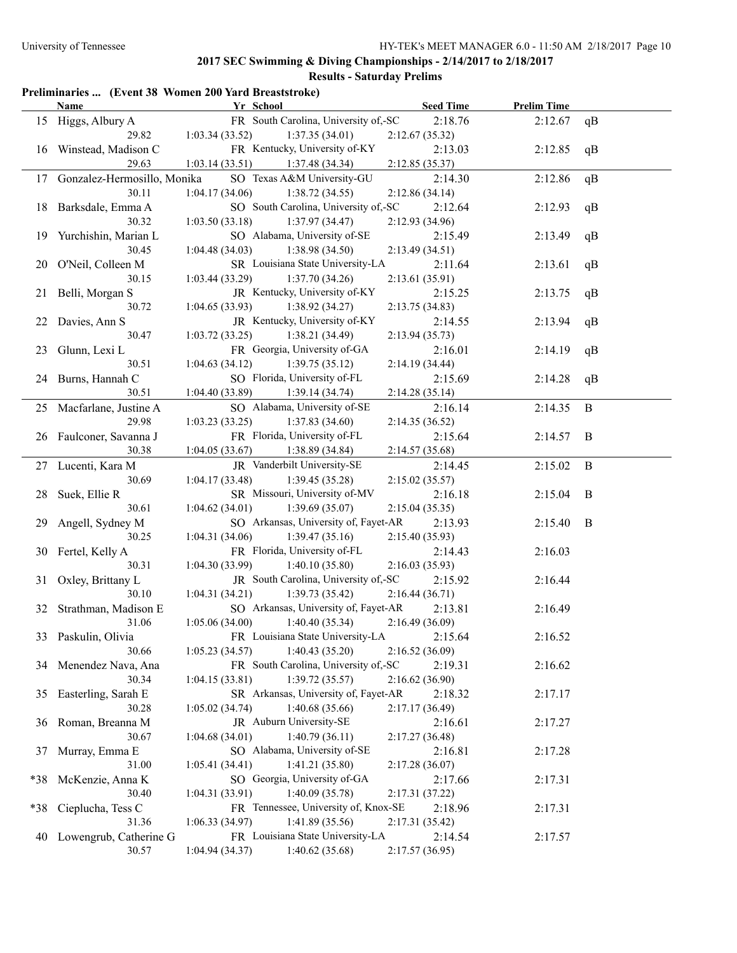# **Results - Saturday Prelims**

|  |  |  | Preliminaries  (Event 38 Women 200 Yard Breaststroke) |
|--|--|--|-------------------------------------------------------|
|--|--|--|-------------------------------------------------------|

|       | <b>Name</b>                    | Yr School                                | <b>Seed Time</b> | <b>Prelim Time</b> |              |
|-------|--------------------------------|------------------------------------------|------------------|--------------------|--------------|
|       | 15 Higgs, Albury A             | FR South Carolina, University of,-SC     | 2:18.76          | 2:12.67            | qB           |
|       | 29.82                          | 1:03.34(33.52)<br>1:37.35(34.01)         | 2:12.67(35.32)   |                    |              |
|       | 16 Winstead, Madison C         | FR Kentucky, University of-KY            | 2:13.03          | 2:12.85            | qB           |
|       | 29.63                          | 1:03.14(33.51)<br>1:37.48(34.34)         | 2:12.85 (35.37)  |                    |              |
|       | 17 Gonzalez-Hermosillo, Monika | SO Texas A&M University-GU               | 2:14.30          | 2:12.86            | qB           |
|       | 30.11                          | 1:04.17(34.06)<br>1:38.72(34.55)         | 2:12.86(34.14)   |                    |              |
|       | 18 Barksdale, Emma A           | SO South Carolina, University of,-SC     | 2:12.64          | 2:12.93            | qB           |
|       | 30.32                          | 1:03.50(33.18)<br>1:37.97(34.47)         | 2:12.93 (34.96)  |                    |              |
|       | 19 Yurchishin, Marian L        | SO Alabama, University of-SE             | 2:15.49          | 2:13.49            | qB           |
|       | 30.45                          | 1:04.48(34.03)<br>1:38.98(34.50)         | 2:13.49(34.51)   |                    |              |
|       | 20 O'Neil, Colleen M           | SR Louisiana State University-LA         | 2:11.64          | 2:13.61            | qB           |
|       | 30.15                          | 1:03.44(33.29)<br>1:37.70(34.26)         | 2:13.61 (35.91)  |                    |              |
|       | 21 Belli, Morgan S             | JR Kentucky, University of-KY            | 2:15.25          | 2:13.75            | qB           |
|       | 30.72                          | 1:04.65(33.93)<br>1:38.92(34.27)         | 2:13.75(34.83)   |                    |              |
|       | 22 Davies, Ann S               | JR Kentucky, University of-KY            | 2:14.55          | 2:13.94            | qB           |
|       | 30.47                          | 1:38.21(34.49)<br>1:03.72(33.25)         | 2:13.94(35.73)   |                    |              |
|       | 23 Glunn, Lexi L               | FR Georgia, University of-GA             | 2:16.01          | 2:14.19            | qB           |
|       | 30.51                          | 1:04.63(34.12)<br>1:39.75(35.12)         | 2:14.19(34.44)   |                    |              |
|       | 24 Burns, Hannah C             | SO Florida, University of-FL             | 2:15.69          | 2:14.28            | qB           |
|       | 30.51                          | 1:04.40(33.89)<br>1:39.14(34.74)         | 2:14.28(35.14)   |                    |              |
|       | 25 Macfarlane, Justine A       | SO Alabama, University of-SE             | 2:16.14          | 2:14.35            | $\mathbf{B}$ |
|       | 29.98                          | 1:03.23(33.25)<br>1:37.83(34.60)         | 2:14.35(36.52)   |                    |              |
|       | 26 Faulconer, Savanna J        | FR Florida, University of-FL             | 2:15.64          | 2:14.57            | B            |
|       | 30.38                          | 1:04.05(33.67)<br>1:38.89 (34.84)        | 2:14.57(35.68)   |                    |              |
|       | 27 Lucenti, Kara M             | JR Vanderbilt University-SE              | 2:14.45          | 2:15.02            | $\mathbf{B}$ |
|       | 30.69                          | 1:04.17(33.48)<br>1:39.45(35.28)         | 2:15.02(35.57)   |                    |              |
|       | 28 Suek, Ellie R               | SR Missouri, University of-MV            | 2:16.18          | 2:15.04            | B            |
|       | 30.61                          | 1:39.69(35.07)<br>1:04.62(34.01)         | 2:15.04(35.35)   |                    |              |
| 29    | Angell, Sydney M               | SO Arkansas, University of, Fayet-AR     | 2:13.93          | 2:15.40            | B            |
|       | 30.25                          | 1:04.31(34.06)<br>1:39.47(35.16)         | 2:15.40(35.93)   |                    |              |
| 30    | Fertel, Kelly A                | FR Florida, University of-FL             | 2:14.43          | 2:16.03            |              |
|       | 30.31                          | 1:04.30(33.99)<br>1:40.10(35.80)         | 2:16.03(35.93)   |                    |              |
| 31    | Oxley, Brittany L              | JR South Carolina, University of,-SC     | 2:15.92          | 2:16.44            |              |
|       | 30.10                          | 1:04.31(34.21)<br>1:39.73(35.42)         | 2:16.44(36.71)   |                    |              |
|       | 32 Strathman, Madison E        | SO Arkansas, University of, Fayet-AR     | 2:13.81          | 2:16.49            |              |
|       | 31.06                          | 1:40.40(35.34)<br>1:05.06(34.00)         | 2:16.49(36.09)   |                    |              |
|       | 33 Paskulin, Olivia            | FR Louisiana State University-LA 2:15.64 |                  | 2:16.52            |              |
|       | 30.66                          | 1:40.43(35.20)<br>1:05.23(34.57)         | 2:16.52(36.09)   |                    |              |
|       | 34 Menendez Nava, Ana          | FR South Carolina, University of,-SC     | 2:19.31          | 2:16.62            |              |
|       | 30.34                          | 1:39.72(35.57)<br>1:04.15(33.81)         | 2:16.62(36.90)   |                    |              |
| 35    | Easterling, Sarah E            | SR Arkansas, University of, Fayet-AR     | 2:18.32          | 2:17.17            |              |
|       | 30.28                          | 1:40.68(35.66)<br>1:05.02(34.74)         | 2:17.17(36.49)   |                    |              |
| 36    | Roman, Breanna M               | JR Auburn University-SE                  | 2:16.61          | 2:17.27            |              |
|       | 30.67                          | 1:04.68(34.01)<br>1:40.79(36.11)         | 2:17.27(36.48)   |                    |              |
| 37    | Murray, Emma E                 | SO Alabama, University of-SE             | 2:16.81          | 2:17.28            |              |
|       | 31.00                          | 1:05.41 (34.41)<br>1:41.21(35.80)        | 2:17.28(36.07)   |                    |              |
| *38   | McKenzie, Anna K               | SO Georgia, University of-GA             | 2:17.66          | 2:17.31            |              |
|       | 30.40                          | 1:04.31(33.91)<br>1:40.09(35.78)         | 2:17.31(37.22)   |                    |              |
| $*38$ | Cieplucha, Tess C              | FR Tennessee, University of, Knox-SE     | 2:18.96          | 2:17.31            |              |
|       | 31.36                          | 1:41.89(35.56)<br>1:06.33(34.97)         | 2:17.31(35.42)   |                    |              |
| 40    | Lowengrub, Catherine G         | FR Louisiana State University-LA         | 2:14.54          | 2:17.57            |              |
|       | 30.57                          | 1:40.62(35.68)<br>1:04.94(34.37)         | 2:17.57(36.95)   |                    |              |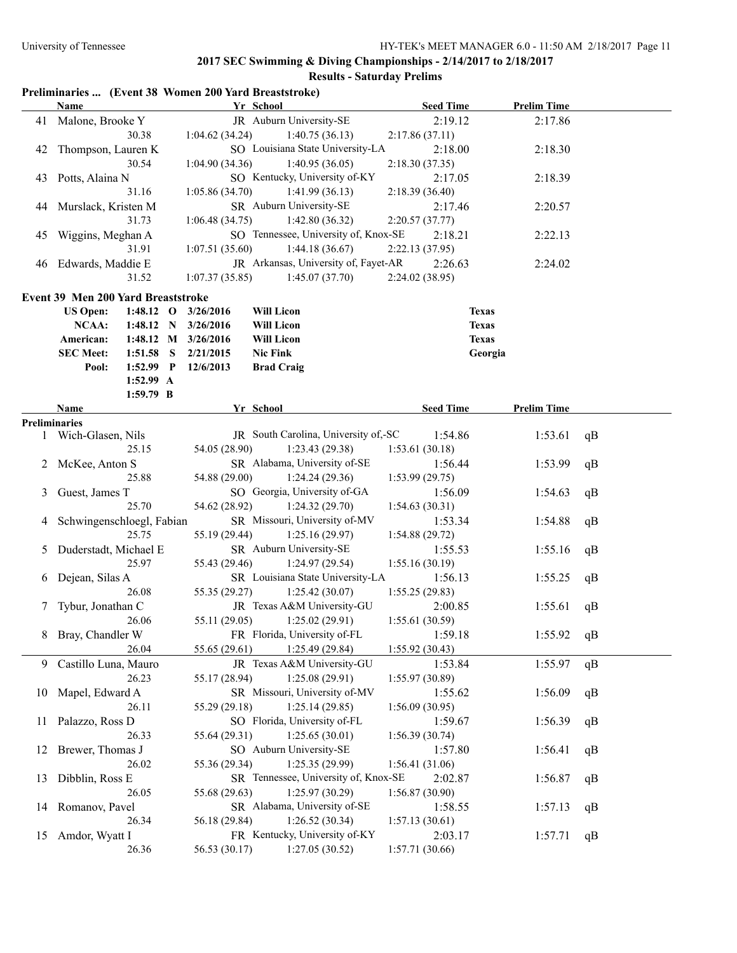# **Results - Saturday Prelims**

# **Preliminaries ... (Event 38 Women 200 Yard Breaststroke)**

|    | <b>Name</b>                         |                                                                             |  |                         | Yr School                            | <b>Seed Time</b> | <b>Prelim Time</b> |    |
|----|-------------------------------------|-----------------------------------------------------------------------------|--|-------------------------|--------------------------------------|------------------|--------------------|----|
|    | 41 Malone, Brooke Y                 |                                                                             |  |                         | JR Auburn University-SE              | 2:19.12          | 2:17.86            |    |
|    |                                     | 30.38                                                                       |  | 1:04.62(34.24)          | 1:40.75(36.13)                       | 2:17.86(37.11)   |                    |    |
| 42 | Thompson, Lauren K                  |                                                                             |  |                         | SO Louisiana State University-LA     | 2:18.00          | 2:18.30            |    |
|    |                                     | 30.54                                                                       |  | 1:04.90(34.36)          | 1:40.95(36.05)                       | 2:18.30 (37.35)  |                    |    |
| 43 | Potts, Alaina N                     |                                                                             |  |                         | SO Kentucky, University of-KY        | 2:17.05          | 2:18.39            |    |
|    |                                     | 31.16                                                                       |  | 1:05.86(34.70)          | 1:41.99(36.13)                       | 2:18.39 (36.40)  |                    |    |
| 44 | Murslack, Kristen M                 |                                                                             |  |                         | SR Auburn University-SE              | 2:17.46          | 2:20.57            |    |
|    |                                     | 31.73                                                                       |  | 1:06.48(34.75)          | 1:42.80(36.32)                       | 2:20.57(37.77)   |                    |    |
| 45 | Wiggins, Meghan A                   |                                                                             |  |                         | SO Tennessee, University of, Knox-SE | 2:18.21          | 2:22.13            |    |
|    |                                     | 31.91                                                                       |  | 1:07.51(35.60)          | 1:44.18(36.67)                       | 2:22.13 (37.95)  |                    |    |
| 46 | Edwards, Maddie E                   |                                                                             |  |                         | JR Arkansas, University of, Fayet-AR | 2:26.63          | 2:24.02            |    |
|    |                                     | 31.52                                                                       |  | 1:07.37(35.85)          | 1:45.07(37.70)                       | 2:24.02 (38.95)  |                    |    |
|    |                                     |                                                                             |  |                         |                                      |                  |                    |    |
|    | Event 39 Men 200 Yard Breaststroke  |                                                                             |  |                         |                                      |                  |                    |    |
|    | <b>US Open:</b>                     |                                                                             |  | 1:48.12 O $3/26/2016$   | <b>Will Licon</b>                    |                  | <b>Texas</b>       |    |
|    | NCAA:                               |                                                                             |  | 1:48.12 N 3/26/2016     | <b>Will Licon</b>                    |                  | <b>Texas</b>       |    |
|    | American:                           |                                                                             |  | 1:48.12 M 3/26/2016     | <b>Will Licon</b>                    |                  | <b>Texas</b>       |    |
|    | <b>SEC Meet:</b>                    |                                                                             |  | $1:51.58$ S $2/21/2015$ | <b>Nic Fink</b>                      |                  | Georgia            |    |
|    | Pool:                               |                                                                             |  |                         |                                      |                  |                    |    |
|    |                                     |                                                                             |  |                         |                                      |                  |                    |    |
|    |                                     | $1:52.99$ P<br>12/6/2013<br><b>Brad Craig</b><br>$1:52.99$ A<br>$1:59.79$ B |  |                         |                                      |                  |                    |    |
|    | <b>Name</b><br><b>Preliminaries</b> |                                                                             |  |                         | Yr School                            | <b>Seed Time</b> | <b>Prelim Time</b> |    |
|    | 1 Wich-Glasen, Nils                 |                                                                             |  |                         | JR South Carolina, University of,-SC | 1:54.86          | 1:53.61            | qB |
|    |                                     | 25.15                                                                       |  | 54.05 (28.90)           | 1:23.43 (29.38)                      | 1:53.61(30.18)   |                    |    |
| 2  | McKee, Anton S                      |                                                                             |  |                         | SR Alabama, University of-SE         | 1:56.44          | 1:53.99            | qB |
|    |                                     | 25.88                                                                       |  | 54.88 (29.00)           | 1:24.24(29.36)                       | 1:53.99(29.75)   |                    |    |
| 3  | Guest, James T                      |                                                                             |  |                         | SO Georgia, University of-GA         | 1:56.09          | 1:54.63            | qB |
|    |                                     | 25.70                                                                       |  | 54.62 (28.92)           | 1:24.32(29.70)                       | 1:54.63(30.31)   |                    |    |
| 4  | Schwingenschloegl, Fabian           |                                                                             |  |                         | SR Missouri, University of-MV        | 1:53.34          | 1:54.88            | qB |
|    |                                     | 25.75                                                                       |  | 55.19 (29.44)           | 1:25.16(29.97)                       | 1:54.88(29.72)   |                    |    |
| 5  | Duderstadt, Michael E               |                                                                             |  |                         | SR Auburn University-SE              | 1:55.53          | 1:55.16            | qB |
|    |                                     | 25.97                                                                       |  | 55.43 (29.46)           | 1:24.97(29.54)                       | 1:55.16(30.19)   |                    |    |
| 6  | Dejean, Silas A                     |                                                                             |  |                         | SR Louisiana State University-LA     | 1:56.13          | 1:55.25            | qB |
|    |                                     | 26.08                                                                       |  | 55.35 (29.27)           | 1:25.42(30.07)                       | 1:55.25(29.83)   |                    |    |
| 7  | Tybur, Jonathan C                   |                                                                             |  |                         | JR Texas A&M University-GU           | 2:00.85          | 1:55.61            | qB |
|    |                                     | 26.06                                                                       |  | 55.11 (29.05)           | 1:25.02(29.91)                       | 1:55.61(30.59)   |                    |    |
|    | 8 Bray, Chandler W                  |                                                                             |  |                         | FR Florida, University of-FL         | 1:59.18          | 1:55.92            | qB |
|    |                                     | 26.04                                                                       |  | 55.65 (29.61)           | 1:25.49 (29.84)                      | 1:55.92(30.43)   |                    |    |
|    | 9 Castillo Luna, Mauro              |                                                                             |  |                         | JR Texas A&M University-GU           | 1:53.84          | 1:55.97            | qB |
|    |                                     | 26.23                                                                       |  | 55.17 (28.94)           | 1:25.08(29.91)                       | 1:55.97(30.89)   |                    |    |
|    | 10 Mapel, Edward A                  |                                                                             |  |                         | SR Missouri, University of-MV        | 1:55.62          | 1:56.09            | qB |
|    |                                     | 26.11                                                                       |  | 55.29 (29.18)           | 1:25.14(29.85)                       | 1:56.09(30.95)   |                    |    |
| 11 | Palazzo, Ross D                     |                                                                             |  |                         | SO Florida, University of-FL         | 1:59.67          | 1:56.39            | qB |
|    |                                     | 26.33                                                                       |  | 55.64 (29.31)           | 1:25.65(30.01)                       | 1:56.39(30.74)   |                    |    |
| 12 | Brewer, Thomas J                    |                                                                             |  |                         | SO Auburn University-SE              | 1:57.80          | 1:56.41            | qB |
|    |                                     | 26.02                                                                       |  | 55.36 (29.34)           | 1:25.35(29.99)                       | 1:56.41(31.06)   |                    |    |
| 13 | Dibblin, Ross E                     |                                                                             |  |                         | SR Tennessee, University of, Knox-SE | 2:02.87          | 1:56.87            | qB |
|    |                                     | 26.05                                                                       |  | 55.68 (29.63)           | 1:25.97(30.29)                       | 1:56.87(30.90)   |                    |    |
| 14 | Romanov, Pavel                      |                                                                             |  |                         | SR Alabama, University of-SE         | 1:58.55          | 1:57.13            | qB |
|    |                                     | 26.34                                                                       |  | 56.18 (29.84)           | 1:26.52(30.34)                       | 1:57.13(30.61)   |                    |    |
| 15 | Amdor, Wyatt I                      |                                                                             |  |                         | FR Kentucky, University of-KY        | 2:03.17          | 1:57.71            | qB |
|    |                                     | 26.36                                                                       |  | 56.53 (30.17)           | 1:27.05(30.52)                       | 1:57.71(30.66)   |                    |    |
|    |                                     |                                                                             |  |                         |                                      |                  |                    |    |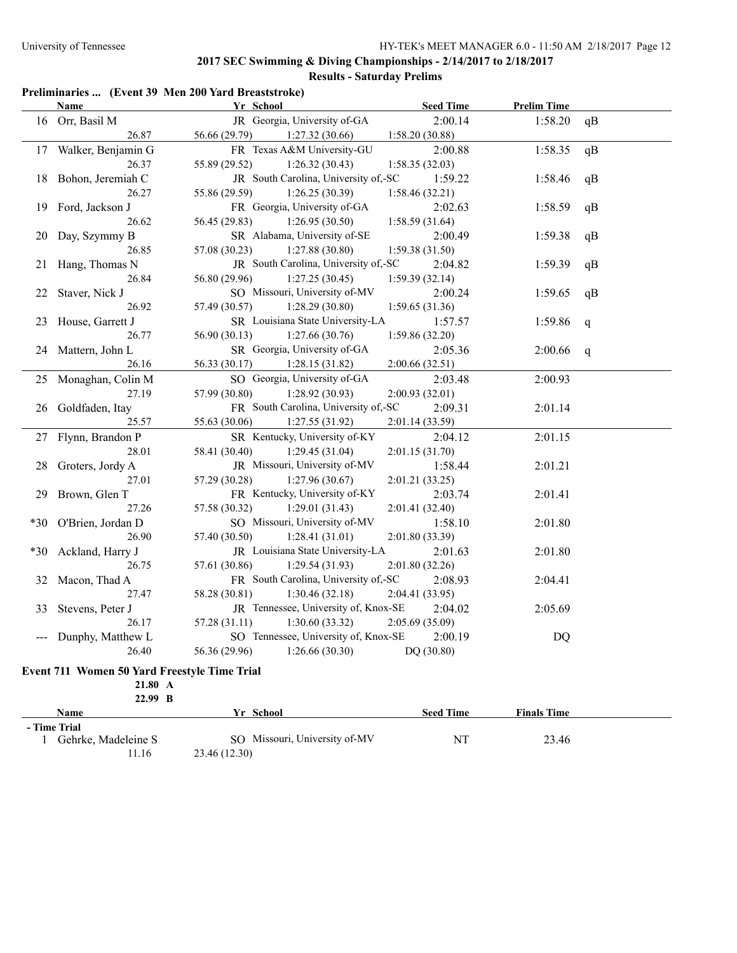#### **Preliminaries ... (Event 39 Men 200 Yard Breaststroke)**

|                                                                                       | <b>Name</b>           | Yr School                            | <b>Seed Time</b> | <b>Prelim Time</b> |    |  |
|---------------------------------------------------------------------------------------|-----------------------|--------------------------------------|------------------|--------------------|----|--|
|                                                                                       | 16 Orr, Basil M       | JR Georgia, University of-GA         | 2:00.14          | 1:58.20            | qB |  |
|                                                                                       | 26.87                 | 56.66 (29.79)<br>1:27.32(30.66)      | 1:58.20(30.88)   |                    |    |  |
|                                                                                       | 17 Walker, Benjamin G | FR Texas A&M University-GU           | 2:00.88          | 1:58.35            | qB |  |
|                                                                                       | 26.37                 | 55.89 (29.52)<br>1:26.32(30.43)      | 1:58.35(32.03)   |                    |    |  |
|                                                                                       | 18 Bohon, Jeremiah C  | JR South Carolina, University of,-SC | 1:59.22          | 1:58.46            | qB |  |
|                                                                                       | 26.27                 | 55.86 (29.59)<br>1:26.25(30.39)      | 1:58.46(32.21)   |                    |    |  |
|                                                                                       | 19 Ford, Jackson J    | FR Georgia, University of-GA         | 2:02.63          | 1:58.59            | qB |  |
|                                                                                       | 26.62                 | 56.45 (29.83)<br>1:26.95(30.50)      | 1:58.59(31.64)   |                    |    |  |
|                                                                                       | 20 Day, Szymmy B      | SR Alabama, University of-SE         | 2:00.49          | 1:59.38            | qB |  |
|                                                                                       | 26.85                 | 57.08 (30.23)<br>1:27.88(30.80)      | 1:59.38(31.50)   |                    |    |  |
|                                                                                       | 21 Hang, Thomas N     | JR South Carolina, University of,-SC | 2:04.82          | 1:59.39            | qB |  |
|                                                                                       | 26.84                 | 1:27.25(30.45)<br>56.80 (29.96)      | 1:59.39(32.14)   |                    |    |  |
|                                                                                       | 22 Staver, Nick J     | SO Missouri, University of-MV        | 2:00.24          | 1:59.65            | qB |  |
|                                                                                       | 26.92                 | 57.49 (30.57)<br>1:28.29(30.80)      | 1:59.65(31.36)   |                    |    |  |
|                                                                                       | 23 House, Garrett J   | SR Louisiana State University-LA     | 1:57.57          | 1:59.86            | q  |  |
|                                                                                       | 26.77                 | 1:27.66(30.76)<br>56.90 (30.13)      | 1:59.86(32.20)   |                    |    |  |
|                                                                                       | 24 Mattern, John L    | SR Georgia, University of-GA         | 2:05.36          | 2:00.66            | q  |  |
|                                                                                       | 26.16                 | 56.33 (30.17)<br>1:28.15(31.82)      | 2:00.66(32.51)   |                    |    |  |
|                                                                                       | 25 Monaghan, Colin M  | SO Georgia, University of-GA         | 2:03.48          | 2:00.93            |    |  |
|                                                                                       | 27.19                 | 57.99 (30.80)<br>1:28.92(30.93)      | 2:00.93(32.01)   |                    |    |  |
|                                                                                       | 26 Goldfaden, Itay    | FR South Carolina, University of,-SC | 2:09.31          | 2:01.14            |    |  |
|                                                                                       | 25.57                 | 55.63 (30.06)<br>1:27.55(31.92)      | 2:01.14(33.59)   |                    |    |  |
|                                                                                       | 27 Flynn, Brandon P   | SR Kentucky, University of-KY        | 2:04.12          | 2:01.15            |    |  |
|                                                                                       | 28.01                 | 58.41 (30.40)<br>1:29.45(31.04)      | 2:01.15(31.70)   |                    |    |  |
| 28                                                                                    | Groters, Jordy A      | JR Missouri, University of-MV        | 1:58.44          | 2:01.21            |    |  |
|                                                                                       | 27.01                 | 57.29 (30.28)<br>1:27.96(30.67)      | 2:01.21 (33.25)  |                    |    |  |
|                                                                                       | 29 Brown, Glen T      | FR Kentucky, University of-KY        | 2:03.74          | 2:01.41            |    |  |
|                                                                                       | 27.26                 | 57.58 (30.32)<br>1:29.01(31.43)      | 2:01.41(32.40)   |                    |    |  |
| $*30$                                                                                 | O'Brien, Jordan D     | SO Missouri, University of-MV        | 1:58.10          | 2:01.80            |    |  |
|                                                                                       | 26.90                 | 57.40 (30.50)<br>1:28.41(31.01)      | 2:01.80 (33.39)  |                    |    |  |
|                                                                                       | *30 Ackland, Harry J  | JR Louisiana State University-LA     | 2:01.63          | 2:01.80            |    |  |
|                                                                                       | 26.75                 | 57.61 (30.86)<br>1:29.54(31.93)      | 2:01.80 (32.26)  |                    |    |  |
|                                                                                       | 32 Macon, Thad A      | FR South Carolina, University of,-SC | 2:08.93          | 2:04.41            |    |  |
|                                                                                       | 27.47                 | 1:30.46(32.18)<br>58.28 (30.81)      | 2:04.41 (33.95)  |                    |    |  |
| 33                                                                                    | Stevens, Peter J      | JR Tennessee, University of, Knox-SE | 2:04.02          | 2:05.69            |    |  |
|                                                                                       | 26.17                 | 57.28 (31.11)<br>1:30.60(33.32)      | 2:05.69(35.09)   |                    |    |  |
| SO Tennessee, University of, Knox-SE<br>2:00.19<br><b>DQ</b><br>--- Dunphy, Matthew L |                       |                                      |                  |                    |    |  |
|                                                                                       | 26.40                 | 56.36 (29.96)<br>1:26.66(30.30)      | DQ (30.80)       |                    |    |  |

#### **Event 711 Women 50 Yard Freestyle Time Trial**

**21.80 A 22.99 B**

| -----               |                               |                  |                    |  |
|---------------------|-------------------------------|------------------|--------------------|--|
| Name                | Yr School                     | <b>Seed Time</b> | <b>Finals Time</b> |  |
| - Time Trial        |                               |                  |                    |  |
| Gehrke, Madeleine S | SO Missouri, University of-MV | N1               | 23.46              |  |
| 11.16               | 23.46 (12.30)                 |                  |                    |  |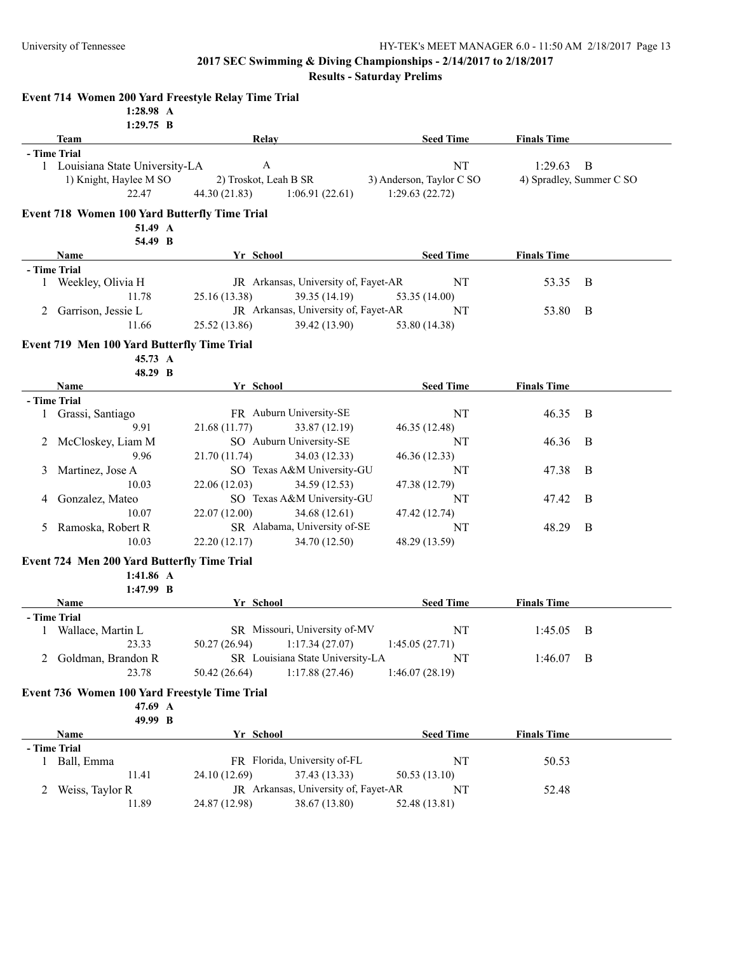**Results - Saturday Prelims**

| 1:29.75 B                                                |                                      |                          |                    |                          |
|----------------------------------------------------------|--------------------------------------|--------------------------|--------------------|--------------------------|
| <b>Team</b><br>- Time Trial                              | Relay                                | <b>Seed Time</b>         | <b>Finals Time</b> |                          |
| 1 Louisiana State University-LA                          | $\mathbf{A}$                         | <b>NT</b>                | 1:29.63            | B                        |
| 1) Knight, Haylee M SO                                   | 2) Troskot, Leah B SR                | 3) Anderson, Taylor C SO |                    | 4) Spradley, Summer C SO |
| 22.47                                                    | 44.30 (21.83)<br>1:06.91(22.61)      | 1:29.63(22.72)           |                    |                          |
| <b>Event 718 Women 100 Yard Butterfly Time Trial</b>     |                                      |                          |                    |                          |
| 51.49 A                                                  |                                      |                          |                    |                          |
| 54.49 B                                                  |                                      |                          |                    |                          |
| Name                                                     | Yr School                            | <b>Seed Time</b>         | <b>Finals Time</b> |                          |
| - Time Trial                                             |                                      |                          |                    |                          |
| 1 Weekley, Olivia H                                      | JR Arkansas, University of, Fayet-AR | NT                       | 53.35              | B                        |
| 11.78                                                    | 39.35 (14.19)<br>25.16 (13.38)       | 53.35 (14.00)            |                    |                          |
| Garrison, Jessie L<br>2                                  | JR Arkansas, University of, Fayet-AR | NT                       | 53.80              | B                        |
| 11.66                                                    | 39.42 (13.90)<br>25.52 (13.86)       | 53.80 (14.38)            |                    |                          |
| Event 719 Men 100 Yard Butterfly Time Trial              |                                      |                          |                    |                          |
| 45.73 A                                                  |                                      |                          |                    |                          |
| 48.29 B<br>Name                                          | Yr School                            | <b>Seed Time</b>         | <b>Finals Time</b> |                          |
| - Time Trial                                             |                                      |                          |                    |                          |
| Grassi, Santiago<br>1                                    | FR Auburn University-SE              | NT                       | 46.35              | B                        |
| 9.91                                                     | 33.87 (12.19)<br>21.68 (11.77)       | 46.35 (12.48)            |                    |                          |
| McCloskey, Liam M<br>2                                   | SO Auburn University-SE              | NT                       | 46.36              | B                        |
| 9.96                                                     | 21.70 (11.74)<br>34.03 (12.33)       | 46.36 (12.33)            |                    |                          |
| 3<br>Martinez, Jose A                                    | SO Texas A&M University-GU           | NT                       | 47.38              | B                        |
| 10.03                                                    | 22.06 (12.03)<br>34.59 (12.53)       | 47.38 (12.79)            |                    |                          |
| Gonzalez, Mateo<br>4                                     | SO Texas A&M University-GU           | NT                       | 47.42              | B                        |
| 10.07                                                    | 22.07 (12.00)<br>34.68 (12.61)       | 47.42 (12.74)            |                    |                          |
| Ramoska, Robert R<br>5                                   | SR Alabama, University of-SE         | NT                       | 48.29              | B                        |
| 10.03                                                    | 34.70 (12.50)<br>22.20(12.17)        | 48.29 (13.59)            |                    |                          |
|                                                          |                                      |                          |                    |                          |
| Event 724 Men 200 Yard Butterfly Time Trial<br>1:41.86 A |                                      |                          |                    |                          |
| $1:47.99$ B                                              |                                      |                          |                    |                          |
| Name                                                     | Yr School                            | <b>Seed Time</b>         | <b>Finals Time</b> |                          |
| - Time Trial                                             |                                      |                          |                    |                          |
| 1 Wallace, Martin L                                      | SR Missouri, University of-MV        | NT                       | $1:45.05$ B        |                          |
| 23.33                                                    | 1:17.34(27.07)<br>50.27 (26.94)      | 1:45.05(27.71)           |                    |                          |
| Goldman, Brandon R<br>2                                  | SR Louisiana State University-LA     | NT                       | $1:46.07$ B        |                          |
| 23.78                                                    | 50.42 (26.64)<br>1:17.88(27.46)      | 1:46.07(28.19)           |                    |                          |
| Event 736 Women 100 Yard Freestyle Time Trial            |                                      |                          |                    |                          |
| 47.69 A                                                  |                                      |                          |                    |                          |
| 49.99 B                                                  |                                      |                          |                    |                          |
| Name                                                     | Yr School                            | <b>Seed Time</b>         | <b>Finals Time</b> |                          |
| - Time Trial                                             |                                      |                          |                    |                          |
| 1 Ball, Emma                                             | FR Florida, University of-FL         | NT                       | 50.53              |                          |
| 11.41                                                    | 37.43 (13.33)<br>24.10 (12.69)       | 50.53 (13.10)            |                    |                          |
| Weiss, Taylor R<br>2                                     | JR Arkansas, University of, Fayet-AR | NT                       | 52.48              |                          |
| 11.89                                                    | 24.87 (12.98)<br>38.67 (13.80)       | 52.48 (13.81)            |                    |                          |